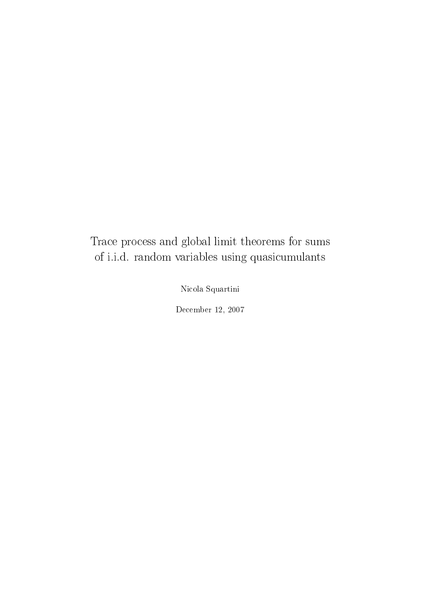### Trace process and global limit theorems for sums of i.i.d. random variables using quasicumulants

Nicola Squartini

December 12, 2007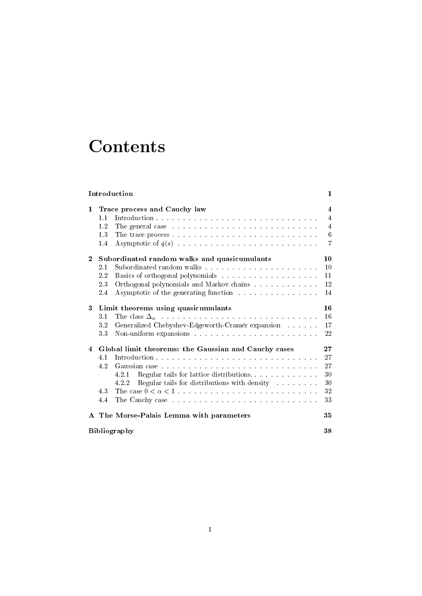## **Contents**

| Introduction   |                                                      |                                                                                                                                                                                                                                | 1                |
|----------------|------------------------------------------------------|--------------------------------------------------------------------------------------------------------------------------------------------------------------------------------------------------------------------------------|------------------|
| $\mathbf 1$    | Trace process and Cauchy law                         |                                                                                                                                                                                                                                | $\overline{4}$   |
|                | 1.1                                                  |                                                                                                                                                                                                                                | $\overline{4}$   |
|                | 1.2                                                  | The general case resonance and continuous contract the set of the set of the set of the set of the set of the set of the set of the set of the set of the set of the set of the set of the set of the set of the set of the se | $\overline{4}$   |
|                | 1.3                                                  |                                                                                                                                                                                                                                | $\boldsymbol{6}$ |
|                | 1.4                                                  |                                                                                                                                                                                                                                | $\overline{7}$   |
| $\mathbf{2}$   | Subordinated random walks and quasicumulants         |                                                                                                                                                                                                                                | 10               |
|                | 2.1                                                  |                                                                                                                                                                                                                                | 10               |
|                | $2.2\,$                                              |                                                                                                                                                                                                                                | 11               |
|                | 2.3                                                  | Orthogonal polynomials and Markov chains                                                                                                                                                                                       | 12               |
|                | 2.4                                                  | Asymptotic of the generating function                                                                                                                                                                                          | 14               |
| 3              | Limit theorems using quasicumulants                  |                                                                                                                                                                                                                                | 16               |
|                | 3.1                                                  |                                                                                                                                                                                                                                | 16               |
|                | 3.2                                                  | Generalized Chebyshev-Edgeworth-Cramér expansion                                                                                                                                                                               | 17               |
|                | 3.3                                                  |                                                                                                                                                                                                                                | 22               |
| $\overline{4}$ | Global limit theorems: the Gaussian and Cauchy cases |                                                                                                                                                                                                                                | 27               |
|                | 4.1                                                  |                                                                                                                                                                                                                                | 27               |
|                | 4.2                                                  |                                                                                                                                                                                                                                | 27               |
|                |                                                      | Regular tails for lattice distributions<br>4.2.1                                                                                                                                                                               | 30               |
|                |                                                      | Regular tails for distributions with density resources.<br>4.2.2                                                                                                                                                               | 30               |
|                | 4.3                                                  |                                                                                                                                                                                                                                | 32               |
|                | 4.4                                                  |                                                                                                                                                                                                                                | 33               |
|                |                                                      | A The Morse-Palais Lemma with parameters                                                                                                                                                                                       | 35               |
|                | <b>Bibliography</b>                                  |                                                                                                                                                                                                                                |                  |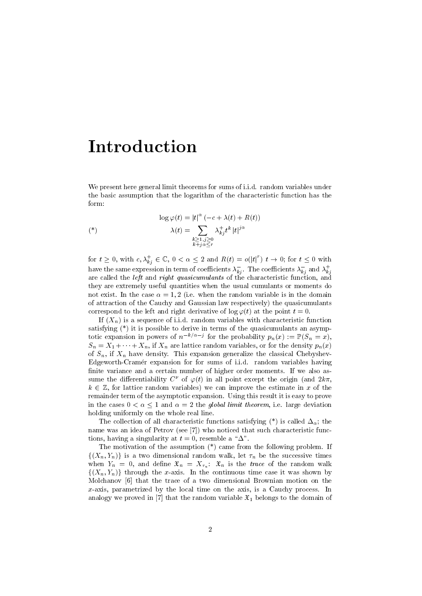## Introduction

We present here general limit theorems for sums of i.i.d. random variables under the basic assumption that the logarithm of the characteristic function has the form:

$$
\log \varphi(t) = |t|^{\alpha} \left( -c + \lambda(t) + R(t) \right)
$$
  
\n
$$
\lambda(t) = \sum_{\substack{k \ge 1, j \ge 0 \\ k+j \alpha \le r}} \lambda_{kj}^{+} t^{k} |t|^{j \alpha}
$$

for  $t \geq 0$ , with  $c, \lambda_{kj}^+ \in \mathbb{C}$ ,  $0 < \alpha \leq 2$  and  $R(t) = o(|t|^r)$   $t \to 0$ ; for  $t \leq 0$  with have the same expression in term of coefficients  $\lambda_{kj}^-$  . The coefficients  $\lambda_{kj}^-$  and  $\lambda_{kj}^+$ are called the left and right quasicumulants of the characteristic function, and they are extremely useful quantities when the usual cumulants or moments do not exist. In the case  $\alpha = 1, 2$  (i.e. when the random variable is in the domain of attraction of the Cauchy and Gaussian law respectively) the quasicumulants correspond to the left and right derivative of  $\log \varphi(t)$  at the point  $t = 0$ .

If  $(X_n)$  is a sequence of i.i.d. random variables with characteristic function satisfying (\*) it is possible to derive in terms of the quasicumulants an asymptotic expansion in powers of  $n^{-k/\alpha-j}$  for the probability  $p_n(x) := \mathbb{P}(S_n = x)$ ,  $S_n = X_1 + \cdots + X_n$ , if  $X_n$  are lattice random variables, or for the density  $p_n(x)$ of  $S_n$ , if  $X_n$  have density. This expansion generalize the classical Chebyshev-Edgeworth-Cramer expansion for for sums of i.i.d. random variables having finite variance and a certain number of higher order moments. If we also assume the differentiability  $C^{\nu}$  of  $\varphi(t)$  in all point except the origin (and  $2k\pi$ ,  $k \in \mathbb{Z}$ , for lattice random variables) we can improve the estimate in x of the remainder term of the asymptotic expansion. Using this result it is easy to prove in the cases  $0 < \alpha < 1$  and  $\alpha = 2$  the *global limit theorem*, i.e. large deviation holding uniformly on the whole real line.

The collection of all characteristic functions satisfying  $(*)$  is called  $\Delta_{\alpha}$ ; the name was an idea of Petrov (see [7]) who noticed that such characteristic functions, having a singularity at  $t = 0$ , resemble a " $\Delta$ ".

The motivation of the assumption (\*) came from the following problem. If  $\{(X_n,Y_n)\}\;$  is a two dimensional random walk, let  $\tau_n$  be the successive times when  $Y_n = 0$ , and define  $\mathfrak{X}_n = X_{\tau_n}$ :  $\mathfrak{X}_n$  is the *trace* of the random walk  $\{(X_n,Y_n)\}\)$  through the x-axis. In the continuous time case it was shown by Molchanov [6] that the trace of a two dimensional Brownian motion on the x-axis, parametrized by the local time on the axis, is a Cauchy process. In analogy we proved in [7] that the random variable  $\mathfrak{X}_1$  belongs to the domain of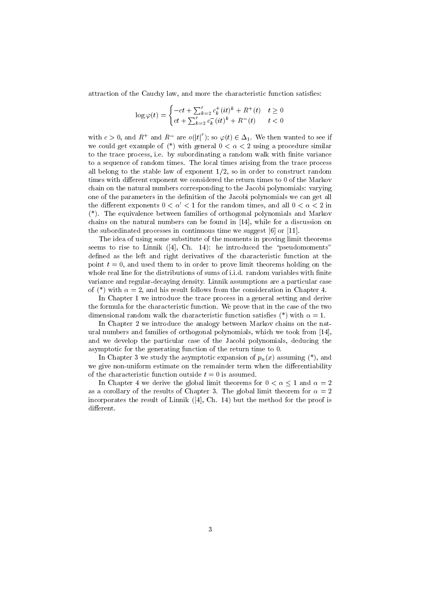attraction of the Cauchy law, and more the characteristic function satises:

$$
\log \varphi(t) = \begin{cases} -ct + \sum_{k=2}^{r} c_k^+(it)^k + R^+(t) & t \ge 0\\ ct + \sum_{k=2}^{r} c_k^-(it)^k + R^-(t) & t < 0 \end{cases}
$$

with  $c > 0$ , and  $R^+$  and  $R^-$  are  $o(|t|^r)$ ; so  $\varphi(t) \in \Delta_1$ . We then wanted to see if we could get example of  $(*)$  with general  $0 < \alpha < 2$  using a procedure similar to the trace process, i.e. by subordinating a random walk with finite variance to a sequence of random times. The local times arising from the trace process all belong to the stable law of exponent  $1/2$ , so in order to construct random times with different exponent we considered the return times to 0 of the Markov chain on the natural numbers corresponding to the Jacobi polynomials: varying one of the parameters in the definition of the Jacobi polynomials we can get all the different exponents  $0 < \alpha' < 1$  for the random times, and all  $0 < \alpha < 2$  in (\*). The equivalence between families of orthogonal polynomials and Markov chains on the natural numbers can be found in [14], while for a discussion on the subordinated processes in continuous time we suggest [6] or [11].

The idea of using some substitute of the moments in proving limit theorems seems to rise to Linnik  $(4, Ch. 14)$ : he introduced the "pseudomoments" defined as the left and right derivatives of the characteristic function at the point  $t = 0$ , and used them to in order to prove limit theorems holding on the whole real line for the distributions of sums of i.i.d. random variables with finite variance and regular-decaying density. Linnik assumptions are a particular case of (\*) with  $\alpha = 2$ , and his result follows from the consideration in Chapter 4.

In Chapter 1 we introduce the trace process in a general setting and derive the formula for the characteristic function. We prove that in the case of the two dimensional random walk the characteristic function satisfies  $(*)$  with  $\alpha = 1$ .

In Chapter 2 we introduce the analogy between Markov chains on the natural numbers and families of orthogonal polynomials, which we took from [14], and we develop the particular case of the Jacobi polynomials, deducing the asymptotic for the generating function of the return time to 0.

In Chapter 3 we study the asymptotic expansion of  $p_n(x)$  assuming  $(*)$ , and we give non-uniform estimate on the remainder term when the differentiability of the characteristic function outside  $t = 0$  is assumed.

In Chapter 4 we derive the global limit theorems for  $0 < \alpha < 1$  and  $\alpha = 2$ as a corollary of the results of Chapter 3. The global limit theorem for  $\alpha = 2$ incorporates the result of Linnik ([4], Ch. 14) but the method for the proof is different.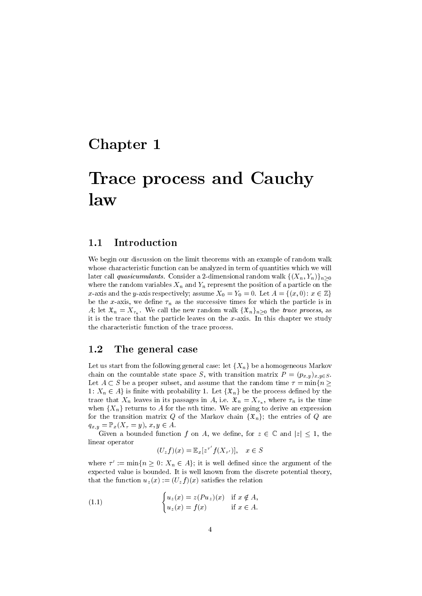### Chapter 1

## Trace process and Cauchy law

#### 1.1 Introduction

We begin our discussion on the limit theorems with an example of random walk whose characteristic function can be analyzed in term of quantities which we will later call *quasicumulants*. Consider a 2-dimensional random walk  $\{(X_n, Y_n)\}_{n>0}$ where the random variables  $X_n$  and  $Y_n$  represent the position of a particle on the x-axis and the y-axis respectively; assume  $X_0 = Y_0 = 0$ . Let  $A = \{(x, 0): x \in \mathbb{Z}\}\$ be the x-axis, we define  $\tau_n$  as the successive times for which the particle is in A; let  $\mathfrak{X}_n = X_{\tau_n}$ . We call the new random walk  $\{\mathfrak{X}_n\}_{n\geq 0}$  the trace process, as it is the trace that the particle leaves on the  $x$ -axis. In this chapter we study the characteristic function of the trace process.

#### 1.2 The general case

Let us start from the following general case: let  $\{X_n\}$  be a homogeneous Markov chain on the countable state space S, with transition matrix  $P = (p_{x,y})_{x,y \in S}$ . Let  $A \subset S$  be a proper subset, and assume that the random time  $\tau = \min\{n \geq 1\}$ 1:  $X_n \in A$  is finite with probability 1. Let  $\{\mathfrak{X}_n\}$  be the process defined by the trace that  $X_n$  leaves in its passages in A, i.e.  $\mathfrak{X}_n = X_{\tau_n}$ , where  $\tau_n$  is the time when  ${X_n}$  returns to A for the nth time. We are going to derive an expression for the transition matrix Q of the Markov chain  $\{\mathfrak{X}_n\}$ ; the entries of Q are  $q_{x,y} = \mathbb{P}_x(X_\tau = y), \ x,y \in A.$ 

Given a bounded function f on A, we define, for  $z \in \mathbb{C}$  and  $|z| \leq 1$ , the linear operator

$$
(U_z f)(x) = \mathbb{E}_x[z^{\tau'} f(X_{\tau'})], \quad x \in S
$$

where  $\tau' := \min\{n \geq 0: X_n \in A\}$ ; it is well defined since the argument of the expected value is bounded. It is well known from the discrete potential theory, that the function  $u_z(x) := (U_z f)(x)$  satisfies the relation

(1.1) 
$$
\begin{cases} u_z(x) = z(Pu_z)(x) & \text{if } x \notin A, \\ u_z(x) = f(x) & \text{if } x \in A. \end{cases}
$$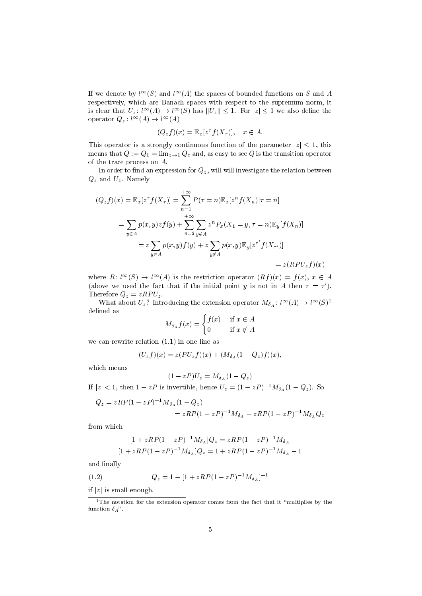If we denote by  $l^{\infty}(S)$  and  $l^{\infty}(A)$  the spaces of bounded functions on S and A respectively, which are Banach spaces with respect to the supremum norm, it is clear that  $U_z$ :  $l^{\infty}(A) \to l^{\infty}(S)$  has  $||U_z|| \leq 1$ . For  $|z| \leq 1$  we also define the operator  $Q_z: l^{\infty}(A) \to l^{\infty}(A)$ 

$$
(Q_z f)(x) = \mathbb{E}_x[z^\tau f(X_\tau)], \quad x \in A.
$$

This operator is a strongly continuous function of the parameter  $|z| \leq 1$ , this means that  $Q := Q_1 = \lim_{z \to 1} Q_z$  and, as easy to see Q is the transition operator of the trace process on A.

In order to find an expression for  $Q_z$ , will will investigate the relation between  $Q_z$  and  $U_z$ . Namely

$$
(Q_z f)(x) = \mathbb{E}_x [z^{\tau} f(X_{\tau})] = \sum_{n=1}^{+\infty} P(\tau = n) \mathbb{E}_x [z^n f(X_n) | \tau = n]
$$
  
= 
$$
\sum_{y \in A} p(x, y) z f(y) + \sum_{n=2}^{+\infty} \sum_{y \notin A} z^n P_x(X_1 = y, \tau = n) \mathbb{E}_y [f(X_n)]
$$
  
= 
$$
z \sum_{y \in A} p(x, y) f(y) + z \sum_{y \notin A} p(x, y) \mathbb{E}_y [z^{\tau'} f(X_{\tau'})]
$$
  
= 
$$
z (RPU_z f)(x)
$$

where  $R: l^{\infty}(S) \to l^{\infty}(A)$  is the restriction operator  $(Rf)(x) = f(x), x \in A$ (above we used the fact that if the initial point y is not in A then  $\tau = \tau'$ ). Therefore  $Q_z = zRPU_z$ .

What about  $U_z$ ? Introducing the extension operator  $M_{\delta_A}: l^{\infty}(A) \to l^{\infty}(S)^1$ defined as

$$
M_{\delta_A} f(x) = \begin{cases} f(x) & \text{if } x \in A \\ 0 & \text{if } x \notin A \end{cases}
$$

we can rewrite relation (1.1) in one line as

$$
(U_z f)(x) = z (PU_z f)(x) + (M_{\delta_A} (1 - Q_z) f)(x),
$$

which means

$$
(1-zP)U_z = M_{\delta_A}(1-Q_z)
$$

If  $|z| < 1$ , then  $1 - zP$  is invertible, hence  $U_z = (1 - zP)^{-1} M_{\delta_A}(1 - Q_z)$ . So

$$
Q_z = zRP(1 - zP)^{-1}M_{\delta_A}(1 - Q_z)
$$
  
=  $zRP(1 - zP)^{-1}M_{\delta_A} - zRP(1 - zP)^{-1}M_{\delta_A}Q_z$ 

from which

$$
[1 + zRP(1 - zP)^{-1}M_{\delta_A}]Q_z = zRP(1 - zP)^{-1}M_{\delta_A}
$$
  

$$
[1 + zRP(1 - zP)^{-1}M_{\delta_A}]Q_z = 1 + zRP(1 - zP)^{-1}M_{\delta_A} - 1
$$

and finally

(1.2) 
$$
Q_z = 1 - [1 + zRP(1 - zP)^{-1}M_{\delta_A}]^{-1}
$$

if  $|z|$  is small enough.

 $1$ The notation for the extension operator comes from the fact that it "multiplies by the function  $\delta_A$ ".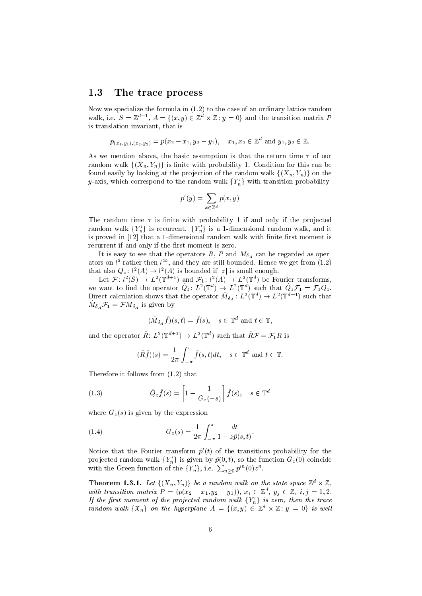#### 1.3 The trace process

Now we specialize the formula in (1.2) to the case of an ordinary lattice random walk, i.e.  $S = \mathbb{Z}^{d+1}$ ,  $A = \{(x, y) \in \mathbb{Z}^d \times \mathbb{Z} : y = 0\}$  and the transition matrix P is translation invariant, that is

$$
p_{(x_1,y_1),(x_2,y_2)} = p(x_2-x_1,y_2-y_1), \quad x_1,x_2 \in \mathbb{Z}^d \text{ and } y_1,y_2 \in \mathbb{Z}.
$$

As we mention above, the basic assumption is that the return time  $\tau$  of our random walk  $\{(X_n,Y_n)\}\)$  is finite with probability 1. Condition for this can be found easily by looking at the projection of the random walk  $\{(X_n,Y_n)\}\)$  on the y-axis, which correspond to the random walk  ${Y_n'}$  with transition probability

$$
p'(y) = \sum_{x \in \mathbb{Z}^d} p(x, y)
$$

The random time  $\tau$  is finite with probability 1 if and only if the projected random walk  ${Y_n'}$  is recurrent.  ${Y_n'}$  is a 1-dimensional random walk, and it is proved in [12] that a 1-dimensional random walk with finite first moment is recurrent if and only if the first moment is zero.

It is easy to see that the operators R, P and  $M_{\delta_A}$  can be regarded as operators on  $l^2$  rather then  $l^{\infty}$ , and they are still bounded. Hence we get from (1.2) that also  $Q_z: l^2(A) \to l^2(A)$  is bounded if  $|z|$  is small enough.

Let  $\mathcal{F}: l^2(S) \to L^2(\mathbb{T}^{d+1})$  and  $\mathcal{F}_1: l^2(A) \to L^2(\mathbb{T}^d)$  be Fourier transforms, we want to find the operator  $\hat{Q}_z : L^2(\mathbb{T}^d) \to L^2(\mathbb{T}^d)$  such that  $\hat{Q}_z\mathcal{F}_1 = \mathcal{F}_1Q_z$ . Direct calculation shows that the operator  $\hat{M}_{\delta_A} : L^2(\mathbb{T}^d) \to L^2(\mathbb{T}^{d+1})$  such that  $\hat{M}_{\delta_A} \mathcal{F}_1 = \mathcal{F} M_{\delta_A}$  is given by

$$
(\hat{M}_{\delta_A}\hat{f})(s,t) = \hat{f}(s), \quad s \in \mathbb{T}^d \text{ and } t \in \mathbb{T},
$$

and the operator  $\hat{R}$ :  $L^2(\mathbb{T}^{d+1}) \to L^2(\mathbb{T}^d)$  such that  $\hat{R}\mathcal{F} = \mathcal{F}_1R$  is

$$
(\hat{R}\hat{f})(s) = \frac{1}{2\pi} \int_{-\pi}^{\pi} \hat{f}(s,t)dt, \quad s \in \mathbb{T}^d \text{ and } t \in \mathbb{T}.
$$

Therefore it follows from (1.2) that

(1.3) 
$$
\hat{Q}_z \hat{f}(s) = \left[1 - \frac{1}{G_z(-s)}\right] \hat{f}(s), \quad s \in \mathbb{T}^d
$$

where  $G_z(s)$  is given by the expression

(1.4) 
$$
G_z(s) = \frac{1}{2\pi} \int_{-\pi}^{\pi} \frac{dt}{1 - z\hat{p}(s, t)}.
$$

Notice that the Fourier transform  $\hat{p}'(t)$  of the transitions probability for the projected random walk  ${Y_n'}$  is given by  $\hat{p}(0, t)$ , so the function  $G_z(0)$  coincide with the Green function of the  $\{Y'_n\}$ , i.e.  $\sum_{n\geq 0} p'^n(0)z^n$ .

**Theorem 1.3.1.** Let  $\{(X_n,Y_n)\}\)$  be a random walk on the state space  $\mathbb{Z}^d \times \mathbb{Z}$ , with transition matrix  $P = (p(x_2 - x_1, y_2 - y_1)), x_i \in \mathbb{Z}^d, y_j \in \mathbb{Z}, i, j = 1, 2$ . If the first moment of the projected random walk  $\{Y_n'\}$  is zero, then the trace random walk  $\{\mathfrak{X}_n\}$  on the hyperplane  $A = \{(x, y) \in \mathbb{Z}^d \times \mathbb{Z} : y = 0\}$  is well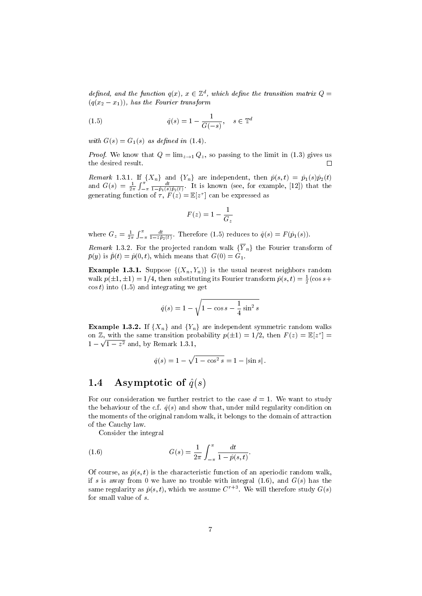defined, and the function  $q(x)$ ,  $x \in \mathbb{Z}^d$ , which define the transition matrix  $Q =$  $(q(x_2 - x_1))$ , has the Fourier transform

(1.5) 
$$
\hat{q}(s) = 1 - \frac{1}{G(-s)}, \quad s \in \mathbb{T}^d
$$

with  $G(s) = G<sub>1</sub>(s)$  as defined in (1.4).

*Proof.* We know that  $Q = \lim_{z \to 1} Q_z$ , so passing to the limit in (1.3) gives us the desired result.  $\Box$ 

Remark 1.3.1. If  $\{X_n\}$  and  $\{Y_n\}$  are independent, then  $\hat{p}(s, t) = \hat{p}_1(s)\hat{p}_2(t)$ and  $G(s) = \frac{1}{2\pi} \int_{-\pi}^{\pi} \frac{dt}{1-\hat{p}_1(s)\hat{p}_2(t)}$ . It is known (see, for example, [12]) that the generating function of  $\tau$ ,  $F(z) = \mathbb{E}[z^{\tau}]$  can be expressed as

$$
F(z) = 1 - \frac{1}{G_z}
$$

where  $G_z = \frac{1}{2\pi} \int_{-\pi}^{\pi} \frac{dt}{1 - z \hat{p}_2(t)}$ . Therefore (1.5) reduces to  $\hat{q}(s) = F(\hat{p}_1(s))$ .

Remark 1.3.2. For the projected random walk  $\{\overline{Y}_n\}$  the Fourier transform of  $\bar{p}(y)$  is  $\hat{\bar{p}}(t) = \hat{p}(0, t)$ , which means that  $G(0) = G_1$ .

**Example 1.3.1.** Suppose  $\{(X_n, Y_n)\}\$ is the usual nearest neighbors random walk  $p(\pm 1, \pm 1) = 1/4$ , then substituting its Fourier transform  $\hat{p}(s, t) = \frac{1}{2}(\cos s +$  $\cos t$ ) into (1.5) and integrating we get

$$
\hat{q}(s) = 1 - \sqrt{1 - \cos s - \frac{1}{4} \sin^2 s}
$$

**Example 1.3.2.** If  $\{X_n\}$  and  $\{Y_n\}$  are independent symmetric random walks on Z, with the same transition probability  $p(\pm 1) = 1/2$ , then  $F(z) = \mathbb{E}[z^{\tau}] =$  $1-\sqrt{1-z^2}$  and, by Remark 1.3.1,

$$
\hat{q}(s) = 1 - \sqrt{1 - \cos^2 s} = 1 - |\sin s|.
$$

#### 1.4 Asymptotic of  $\hat{q}(s)$

For our consideration we further restrict to the case  $d = 1$ . We want to study the behaviour of the c.f.  $\hat{q}(s)$  and show that, under mild regularity condition on the moments of the original random walk, it belongs to the domain of attraction of the Cauchy law.

Consider the integral

(1.6) 
$$
G(s) = \frac{1}{2\pi} \int_{-\pi}^{\pi} \frac{dt}{1 - \hat{p}(s, t)}.
$$

Of course, as  $\hat{p}(s, t)$  is the characteristic function of an aperiodic random walk. if s is away from 0 we have no trouble with integral  $(1.6)$ , and  $G(s)$  has the same regularity as  $\hat{p}(s, t)$ , which we assume  $C^{r+3}$ . We will therefore study  $G(s)$ for small value of s.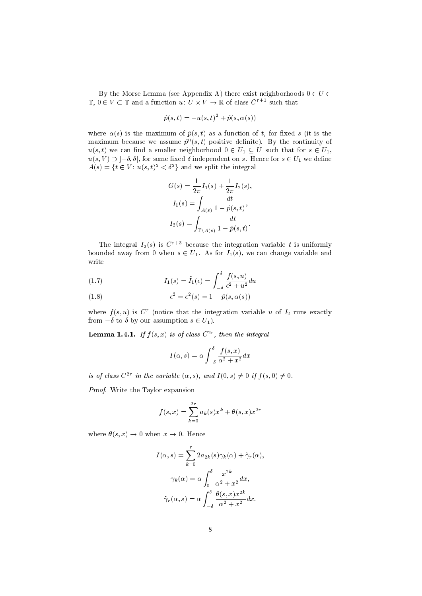By the Morse Lemma (see Appendix A) there exist neighborhoods  $0 \in U \subset$  $\mathbb{T}, 0 \in V \subset \mathbb{T}$  and a function  $u: U \times V \to \mathbb{R}$  of class  $C^{r+1}$  such that

$$
\hat{p}(s,t) = -u(s,t)^2 + \hat{p}(s,\alpha(s))
$$

where  $\alpha(s)$  is the maximum of  $\hat{p}(s,t)$  as a function of t, for fixed s (it is the maximum because we assume  $\hat{p}''(s,t)$  positive definite). By the continuity of  $u(s,t)$  we can find a smaller neighborhood  $0 \in U_1 \subseteq U$  such that for  $s \in U_1$ ,  $u(s, V) \supset -\delta, \delta[,$  for some fixed  $\delta$  independent on s. Hence for  $s \in U_1$  we define  $A(s) = \{t \in V : u(s, t)^2 < \delta^2\}$  and we split the integral

$$
G(s) = \frac{1}{2\pi} I_1(s) + \frac{1}{2\pi} I_2(s),
$$
  
\n
$$
I_1(s) = \int_{A(s)} \frac{dt}{1 - \hat{p}(s, t)},
$$
  
\n
$$
I_2(s) = \int_{\mathbb{T} \backslash A(s)} \frac{dt}{1 - \hat{p}(s, t)}.
$$

The integral  $I_2(s)$  is  $C^{r+3}$  because the integration variable t is uniformly bounded away from 0 when  $s \in U_1$ . As for  $I_1(s)$ , we can change variable and write

(1.7) 
$$
I_1(s) = \tilde{I}_1(\epsilon) = \int_{-\delta}^{\delta} \frac{f(s, u)}{\epsilon^2 + u^2} du
$$

(1.8) 
$$
\epsilon^2 = \epsilon^2(s) = 1 - \hat{p}(s, \alpha(s))
$$

where  $f(s, u)$  is  $C<sup>r</sup>$  (notice that the integration variable u of  $I<sub>2</sub>$  runs exactly from  $-\delta$  to  $\delta$  by our assumption  $s \in U_1$ ).

**Lemma 1.4.1.** If  $f(s, x)$  is of class  $C^{2r}$ , then the integral

$$
I(\alpha, s) = \alpha \int_{-\delta}^{\delta} \frac{f(s, x)}{\alpha^2 + x^2} dx
$$

is of class  $C^{2r}$  in the variable  $(\alpha, s)$ , and  $I(0, s) \neq 0$  if  $f(s, 0) \neq 0$ .

Proof. Write the Taylor expansion

$$
f(s,x) = \sum_{k=0}^{2r} a_k(s)x^k + \theta(s,x)x^{2r}
$$

where  $\theta(s, x) \rightarrow 0$  when  $x \rightarrow 0$ . Hence

$$
I(\alpha, s) = \sum_{k=0}^{r} 2a_{2k}(s)\gamma_k(\alpha) + \tilde{\gamma}_r(\alpha),
$$

$$
\gamma_k(\alpha) = \alpha \int_0^{\delta} \frac{x^{2k}}{\alpha^2 + x^2} dx,
$$

$$
\tilde{\gamma}_r(\alpha, s) = \alpha \int_{-\delta}^{\delta} \frac{\theta(s, x)x^{2k}}{\alpha^2 + x^2} dx.
$$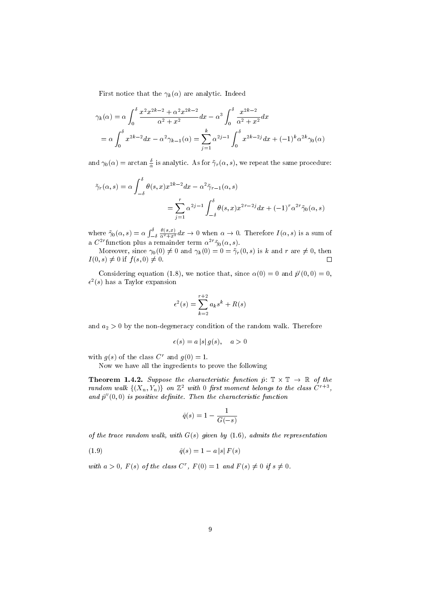First notice that the  $\gamma_k(\alpha)$  are analytic. Indeed

$$
\gamma_k(\alpha) = \alpha \int_0^{\delta} \frac{x^2 x^{2k-2} + \alpha^2 x^{2k-2}}{\alpha^2 + x^2} dx - \alpha^3 \int_0^{\delta} \frac{x^{2k-2}}{\alpha^2 + x^2} dx
$$
  
=  $\alpha \int_0^{\delta} x^{2k-2} dx - \alpha^2 \gamma_{k-1}(\alpha) = \sum_{j=1}^k \alpha^{2j-1} \int_0^{\delta} x^{2k-2j} dx + (-1)^k \alpha^{2k} \gamma_0(\alpha)$ 

and  $\gamma_0(\alpha) = \arctan \frac{\delta}{\alpha}$  is analytic. As for  $\tilde{\gamma}_r(\alpha, s)$ , we repeat the same procedure:

$$
\tilde{\gamma}_r(\alpha, s) = \alpha \int_{-\delta}^{\delta} \theta(s, x) x^{2k-2} dx - \alpha^2 \tilde{\gamma}_{r-1}(\alpha, s)
$$

$$
= \sum_{j=1}^r \alpha^{2j-1} \int_{-\delta}^{\delta} \theta(s, x) x^{2r-2j} dx + (-1)^r \alpha^{2r} \tilde{\gamma}_0(\alpha, s)
$$

where  $\tilde{\gamma}_0(\alpha, s) = \alpha \int_{-\delta}^{\delta}$  $\frac{\theta(s,x)}{\alpha^2+x^2}dx \to 0$  when  $\alpha \to 0$ . Therefore  $I(\alpha,s)$  is a sum of a  $C^{2r}$ function plus a remainder term  $\alpha^{2r}\tilde{\gamma}_0(\alpha, s)$ .

Moreover, since  $\gamma_0(0) \neq 0$  and  $\gamma_k(0) = 0 = \tilde{\gamma}_r(0, s)$  is k and r are  $\neq 0$ , then  $I(0, s) \neq 0$  if  $f(s, 0) \neq 0$ .  $\Box$ 

Considering equation (1.8), we notice that, since  $\alpha(0) = 0$  and  $\hat{p}'(0,0) = 0$ ,  $\epsilon^2(s)$  has a Taylor expansion

$$
\epsilon^2(s) = \sum_{k=2}^{r+2} a_k s^k + R(s)
$$

and  $a_2 > 0$  by the non-degeneracy condition of the random walk. Therefore

$$
\epsilon(s) = a |s| g(s), \quad a > 0
$$

with  $g(s)$  of the class  $C^r$  and  $g(0) = 1$ .

Now we have all the ingredients to prove the following

**Theorem 1.4.2.** Suppose the characteristic function  $\hat{p}: \mathbb{T} \times \mathbb{T} \to \mathbb{R}$  of the random walk  $\{(X_n,Y_n)\}\,$  on  $\mathbb{Z}^2$  with 0 first moment belongs to the class  $C^{r+3}$ , and  $\hat{p}^{\prime\prime}(0,0)$  is positive definite. Then the characteristic function

$$
\hat{q}(s) = 1 - \frac{1}{G(-s)}
$$

of the trace random walk, with  $G(s)$  given by  $(1.6)$ , admits the representation

(1.9) 
$$
\hat{q}(s) = 1 - a|s| F(s)
$$

with  $a > 0$ ,  $F(s)$  of the class  $C^r$ ,  $F(0) = 1$  and  $F(s) \neq 0$  if  $s \neq 0$ .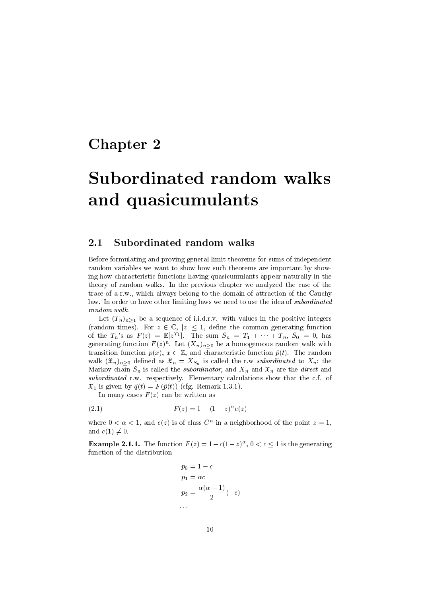### Chapter 2

# Subordinated random walks and quasicumulants

#### 2.1 Subordinated random walks

Before formulating and proving general limit theorems for sums of independent random variables we want to show how such theorems are important by showing how characteristic functions having quasicumulants appear naturally in the theory of random walks. In the previous chapter we analyzed the case of the trace of a r.w., which always belong to the domain of attraction of the Cauchy law. In order to have other limiting laws we need to use the idea of subordinated random walk.

Let  $(T_n)_{n\geq1}$  be a sequence of i.i.d.r.v. with values in the positive integers (random times). For  $z \in \mathbb{C}$ ,  $|z| \leq 1$ , define the common generating function of the  $T_n$ 's as  $F(z) = \mathbb{E}[z^{T_1}]$ . The sum  $S_n = T_1 + \cdots + T_n$ ,  $S_0 = 0$ , has generating function  $F(z)^n$ . Let  $(X_n)_{n\geq 0}$  be a homogeneous random walk with transition function  $p(x)$ ,  $x \in \mathbb{Z}$ , and characteristic function  $\hat{p}(t)$ . The random walk  $(\mathfrak{X}_n)_{n\geq 0}$  defined as  $\mathfrak{X}_n = X_{S_n}$  is called the r.w *subordinated* to  $X_n$ ; the Markov chain  $S_n$  is called the *subordinator*, and  $X_n$  and  $\mathfrak{X}_n$  are the *direct* and subordinated r.w. respectively. Elementary calculations show that the c.f. of  $\mathfrak{X}_1$  is given by  $\hat{q}(t) = F(\hat{p}(t))$  (cfg. Remark 1.3.1).

In many cases  $F(z)$  can be written as

(2.1) 
$$
F(z) = 1 - (1 - z)^{\alpha} c(z)
$$

where  $0 < \alpha < 1$ , and  $c(z)$  is of class  $C<sup>n</sup>$  in a neighborhood of the point  $z = 1$ , and  $c(1) \neq 0$ .

**Example 2.1.1.** The function  $F(z) = 1 - c(1-z)^{\alpha}$ ,  $0 < c \le 1$  is the generating function of the distribution

$$
p_0 = 1 - c
$$
  
\n
$$
p_1 = \alpha c
$$
  
\n
$$
p_2 = \frac{\alpha(\alpha - 1)}{2}(-c)
$$

: : :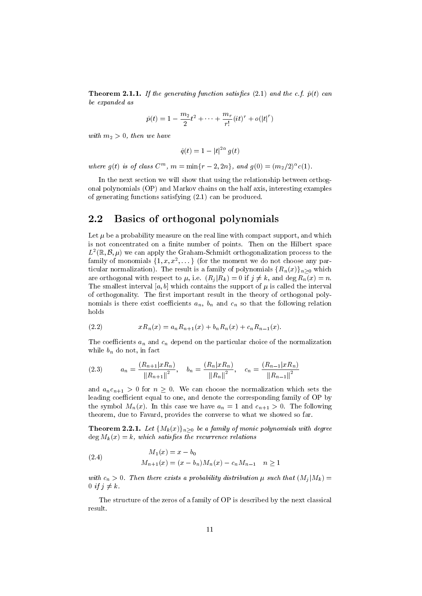**Theorem 2.1.1.** If the generating function satisfies (2.1) and the c.f.  $\hat{p}(t)$  can be expanded as

$$
\hat{p}(t) = 1 - \frac{m_2}{2}t^2 + \dots + \frac{m_r}{r!}(it)^r + o(|t|^r)
$$

with  $m_2 > 0$ , then we have

$$
\hat{q}(t) = 1 - |t|^{2\alpha} g(t)
$$

where  $g(t)$  is of class  $C^m$ ,  $m = \min\{r - 2, 2n\}$ , and  $g(0) = (m_2/2)^{\alpha} c(1)$ .

In the next section we will show that using the relationship between orthogonal polynomials (OP) and Markov chains on the half axis, interesting examples of generating functions satisfying (2.1) can be produced.

#### 2.2 Basics of orthogonal polynomials

Let  $\mu$  be a probability measure on the real line with compact support, and which is not concentrated on a finite number of points. Then on the Hilbert space  $L^2(\mathbb{R}, \mathcal{B}, \mu)$  we can apply the Graham-Schmidt orthogonalization process to the family of monomials  $\{1, x, x^2, \dots\}$  (for the moment we do not choose any particular normalization). The result is a family of polynomials  ${R_n(x)}_{n>0}$  which are orthogonal with respect to  $\mu$ , i.e.  $(R_i | R_k) = 0$  if  $j \neq k$ , and deg  $R_n(x) = n$ . The smallest interval [a, b] which contains the support of  $\mu$  is called the interval of orthogonality. The first important result in the theory of orthogonal polynomials is there exist coefficients  $a_n$ ,  $b_n$  and  $c_n$  so that the following relation holds

(2.2) 
$$
xR_n(x) = a_nR_{n+1}(x) + b_nR_n(x) + c_nR_{n-1}(x).
$$

The coefficients  $a_n$  and  $c_n$  depend on the particular choice of the normalization while  $b_n$  do not, in fact

$$
(2.3) \t a_n = \frac{(R_{n+1}|xR_n)}{\|R_{n+1}\|^2}, \t b_n = \frac{(R_n|xR_n)}{\|R_n\|^2}, \t c_n = \frac{(R_{n-1}|xR_n)}{\|R_{n-1}\|^2}
$$

and  $a_n c_{n+1} > 0$  for  $n \geq 0$ . We can choose the normalization which sets the leading coefficient equal to one, and denote the corresponding family of OP by the symbol  $M_n(x)$ . In this case we have  $a_n = 1$  and  $c_{n+1} > 0$ . The following theorem, due to Favard, provides the converse to what we showed so far.

**Theorem 2.2.1.** Let  $\{M_k(x)\}_{n\geq0}$  be a family of monic polynomials with degree  $\deg M_k(x) = k$ , which satisfies the recurrence relations

(2.4) 
$$
M_1(x) = x - b_0
$$

$$
M_{n+1}(x) = (x - b_n)M_n(x) - c_n M_{n-1} \quad n \ge 1
$$

with  $c_n > 0$ . Then there exists a probability distribution  $\mu$  such that  $(M_i|M_k) =$ 0 if  $j \neq k$ .

The structure of the zeros of a family of OP is described by the next classical result.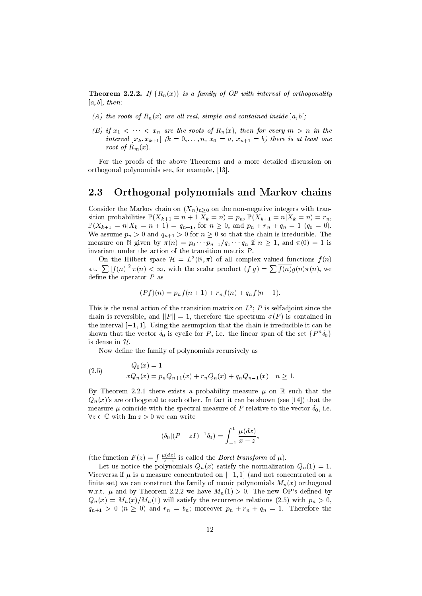**Theorem 2.2.2.** If  $\{R_n(x)\}\$ is a family of OP with interval of orthogonality  $[a, b]$ , then:

- (A) the roots of  $R_n(x)$  are all real, simple and contained inside  $[a, b]$ ;
- (B) if  $x_1 < \cdots < x_n$  are the roots of  $R_n(x)$ , then for every  $m > n$  in the interval  $x_k, x_{k+1}$   $(k = 0, \ldots, n, x_0 = a, x_{n+1} = b)$  there is at least one root of  $R_m(x)$ .

For the proofs of the above Theorems and a more detailed discussion on orthogonal polynomials see, for example, [13].

#### 2.3 Orthogonal polynomials and Markov chains

Consider the Markov chain on  $(X_n)_{n\geq0}$  on the non-negative integers with transition probabilities  $\mathbb{P}(X_{k+1} = n+1 | \overline{X}_k = n) = p_n$ ,  $\mathbb{P}(X_{k+1} = n | \overline{X}_k = n) = r_n$ ,  $\mathbb{P}(X_{k+1} = n | X_k = n + 1) = q_{n+1}$ , for  $n \ge 0$ , and  $p_n + r_n + q_n = 1$  ( $q_0 = 0$ ). We assume  $p_n > 0$  and  $q_{n+1} > 0$  for  $n \geq 0$  so that the chain is irreducible. The measure on N given by  $\pi(n) = p_0 \cdots p_{n-1}/q_1 \cdots q_n$  if  $n \ge 1$ , and  $\pi(0) = 1$  is invariant under the action of the transition matrix P.

On the Hilbert space  $\mathcal{H} = L^2(\mathbb{N}, \pi)$  of all complex valued functions  $f(n)$ s.t.  $\sum |f(n)|^2 \pi(n) < \infty$ , with the scalar product  $(f|g) = \sum \overline{f(n)}g(n)\pi(n)$ , we define the operator  $P$  as

$$
(Pf)(n) = p_n f(n + 1) + r_n f(n) + q_n f(n - 1).
$$

This is the usual action of the transition matrix on  $L^2$ ; P is selfadjoint since the chain is reversible, and  $||P|| = 1$ , therefore the spectrum  $\sigma(P)$  is contained in the interval  $[-1, 1]$ . Using the assumption that the chain is irreducible it can be shown that the vector  $\delta_0$  is cyclic for P, i.e. the linear span of the set  $\{P^n\delta_0\}$ is dense in  $\mathcal{H}$ .

Now define the family of polynomials recursively as

(2.5) 
$$
Q_0(x) = 1
$$

$$
xQ_n(x) = p_nQ_{n+1}(x) + r_nQ_n(x) + q_nQ_{n-1}(x) \quad n \ge 1.
$$

By Theorem 2.2.1 there exists a probability measure  $\mu$  on R such that the  $Q_n(x)$ 's are orthogonal to each other. In fact it can be shown (see [14]) that the measure  $\mu$  coincide with the spectral measure of P relative to the vector  $\delta_0$ , i.e.  $\forall z \in \mathbb{C}$  with Im  $z > 0$  we can write

$$
(\delta_0|(P - zI)^{-1}\delta_0) = \int_{-1}^1 \frac{\mu(dx)}{x - z},
$$

(the function  $F(z) = \int \frac{\mu(dx)}{z-z}$  is called the *Borel transform* of  $\mu$ ).

Let us notice the polynomials  $Q_n(x)$  satisfy the normalization  $Q_n(1) = 1$ . Viceversa if  $\mu$  is a measure concentrated on  $[-1, 1]$  (and not concentrated on a finite set) we can construct the family of monic polynomials  $M_n(x)$  orthogonal w.r.t.  $\mu$  and by Theorem 2.2.2 we have  $M_n(1) > 0$ . The new OP's defined by  $Q_n(x) = M_n(x)/M_n(1)$  will satisfy the recurrence relations (2.5) with  $p_n > 0$ ,  $q_{n+1} > 0$   $(n \geq 0)$  and  $r_n = b_n$ ; moreover  $p_n + r_n + q_n = 1$ . Therefore the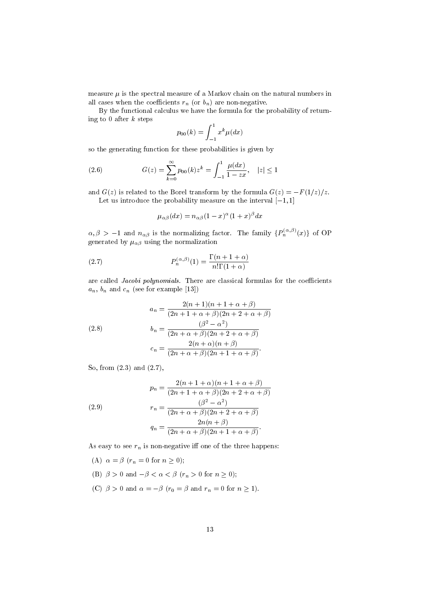measure  $\mu$  is the spectral measure of a Markov chain on the natural numbers in all cases when the coefficients  $r_n$  (or  $b_n$ ) are non-negative.

By the functional calculus we have the formula for the probability of returning to 0 after  $k$  steps

$$
p_{00}(k) = \int_{-1}^{1} x^k \mu(dx)
$$

so the generating function for these probabilities is given by

(2.6) 
$$
G(z) = \sum_{k=0}^{\infty} p_{00}(k) z^k = \int_{-1}^{1} \frac{\mu(dx)}{1 - zx}, \quad |z| \le 1
$$

and  $G(z)$  is related to the Borel transform by the formula  $G(z) = -F(1/z)/z$ . Let us introduce the probability measure on the interval  $[-1, 1]$ 

$$
\mu_{\alpha\beta}(dx) = n_{\alpha\beta}(1-x)^{\alpha}(1+x)^{\beta}dx
$$

 $\alpha, \beta > -1$  and  $n_{\alpha\beta}$  is the normalizing factor. The family  $\{P_n^{(\alpha,\beta)}(x)\}$  of OP generated by  $\mu_{\alpha\beta}$  using the normalization

(2.7) 
$$
P_n^{(\alpha,\beta)}(1) = \frac{\Gamma(n+1+\alpha)}{n!\Gamma(1+\alpha)}
$$

are called Jacobi polynomials. There are classical formulas for the coefficients  $a_n$ ,  $b_n$  and  $c_n$  (see for example [13])

(2.8)  

$$
a_n = \frac{2(n+1)(n+1+\alpha+\beta)}{(2n+1+\alpha+\beta)(2n+2+\alpha+\beta)}
$$

$$
b_n = \frac{(\beta^2 - \alpha^2)}{(2n+\alpha+\beta)(2n+2+\alpha+\beta)}
$$

$$
c_n = \frac{2(n+\alpha)(n+\beta)}{(2n+\alpha+\beta)(2n+1+\alpha+\beta)}.
$$

So, from (2.3) and (2.7),

(2.9)  
\n
$$
p_n = \frac{2(n+1+\alpha)(n+1+\alpha+\beta)}{(2n+1+\alpha+\beta)(2n+2+\alpha+\beta)}
$$
\n
$$
r_n = \frac{(\beta^2 - \alpha^2)}{(2n+\alpha+\beta)(2n+2+\alpha+\beta)}
$$
\n
$$
q_n = \frac{2n(n+\beta)}{(2n+\alpha+\beta)(2n+1+\alpha+\beta)}.
$$

As easy to see  $r_n$  is non-negative iff one of the three happens:

(A)  $\alpha = \beta$  ( $r_n = 0$  for  $n \ge 0$ ); (B)  $\beta > 0$  and  $-\beta < \alpha < \beta$   $(r_n > 0$  for  $n \geq 0)$ ; (C)  $\beta > 0$  and  $\alpha = -\beta$  ( $r_0 = \beta$  and  $r_n = 0$  for  $n \ge 1$ ).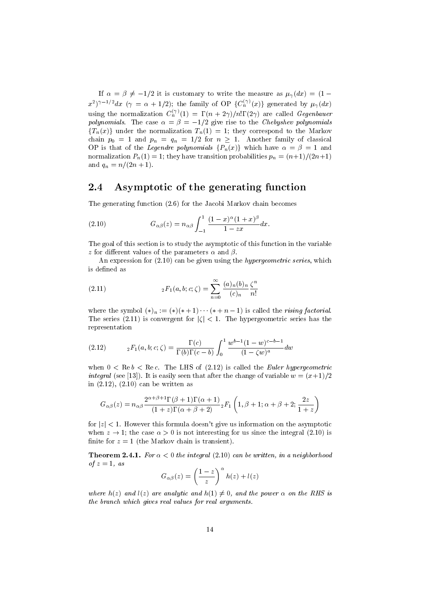If  $\alpha = \beta \neq -1/2$  it is customary to write the measure as  $\mu_{\gamma}(dx) = (1 (x^2)^{\gamma-1/2}dx$  ( $\gamma = \alpha + 1/2$ ); the family of OP  $\{C_n^{(\gamma)}(x)\}$  generated by  $\mu_{\gamma}(dx)$ using the normalization  $C_n^{(\gamma)}(1) = \Gamma(n + 2\gamma)/n! \Gamma(2\gamma)$  are called Gegenbauer polynomials. The case  $\alpha = \beta = -1/2$  give rise to the Chebyshev polynomials  ${T_n(x)}$  under the normalization  $T_n(1) = 1$ ; they correspond to the Markov chain  $p_0 = 1$  and  $p_n = q_n = 1/2$  for  $n \ge 1$ . Another family of classical OP is that of the *Legendre polynomials*  $\{P_n(x)\}\$  which have  $\alpha = \beta = 1$  and normalization  $P_n(1) = 1$ ; they have transition probabilities  $p_n = \frac{n+1}{2n+1}$ and  $q_n = n/(2n + 1)$ .

#### 2.4 Asymptotic of the generating function

The generating function (2.6) for the Jacobi Markov chain becomes

(2.10) 
$$
G_{\alpha\beta}(z) = n_{\alpha\beta} \int_{-1}^{1} \frac{(1-x)^{\alpha}(1+x)^{\beta}}{1-zx} dx.
$$

The goal of this section is to study the asymptotic of this function in the variable z for different values of the parameters  $\alpha$  and  $\beta$ .

An expression for (2.10) can be given using the hypergeometric series, which is defined as

(2.11) 
$$
{}_2F_1(a,b;c;\zeta) = \sum_{n=0}^{\infty} \frac{(a)_n (b)_n}{(c)_n} \frac{\zeta^n}{n!}
$$

where the symbol  $(*)_n := (*)(* + 1) \cdots (* + n - 1)$  is called the *rising factorial*. The series (2.11) is convergent for  $|\zeta| < 1$ . The hypergeometric series has the representation

(2.12) 
$$
{}_2F_1(a,b;c;\zeta) = \frac{\Gamma(c)}{\Gamma(b)\Gamma(c-b)} \int_0^1 \frac{w^{b-1}(1-w)^{c-b-1}}{(1-\zeta w)^a} dw
$$

when  $0 < \text{Re} b < \text{Re} c$ . The LHS of (2.12) is called the *Euler hypergeometric integral* (see [13]). It is easily seen that after the change of variable  $w = (x+1)/2$ in (2.12), (2.10) can be written as

$$
G_{\alpha\beta}(z) = n_{\alpha\beta} \frac{2^{\alpha+\beta+1} \Gamma(\beta+1) \Gamma(\alpha+1)}{(1+z) \Gamma(\alpha+\beta+2)} {}_2F_1\left(1, \beta+1; \alpha+\beta+2; \frac{2z}{1+z}\right)
$$

for  $|z|$  < 1. However this formula doesn't give us information on the asymptotic when  $z \to 1$ ; the case  $\alpha > 0$  is not interesting for us since the integral (2.10) is finite for  $z = 1$  (the Markov chain is transient).

**Theorem 2.4.1.** For  $\alpha < 0$  the integral (2.10) can be written, in a neighborhood of  $z=1$ , as

$$
G_{\alpha\beta}(z) = \left(\frac{1-z}{z}\right)^{\alpha} h(z) + l(z)
$$

where  $h(z)$  and  $l(z)$  are analytic and  $h(1) \neq 0$ , and the power  $\alpha$  on the RHS is the branch which gives real values for real arguments.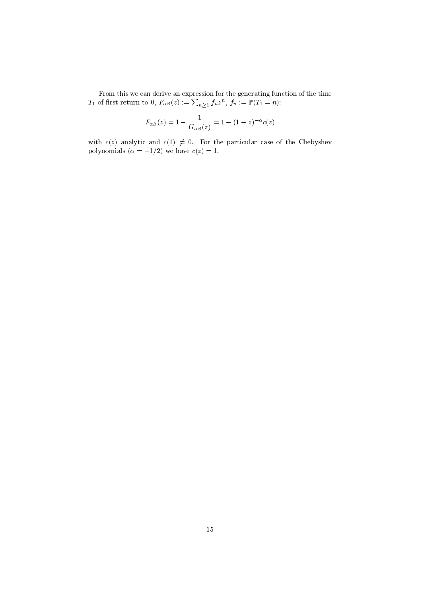From this we can derive an expression for the generating function of the time  $T_1$  of first return to 0,  $F_{\alpha\beta}(z) := \sum_{n\geq 1} f_n z^n$ ,  $f_n := \mathbb{P}(T_1 = n)$ :

$$
F_{\alpha\beta}(z) = 1 - \frac{1}{G_{\alpha\beta}(z)} = 1 - (1 - z)^{-\alpha} c(z)
$$

with  $c(z)$  analytic and  $c(1) \neq 0$ . For the particular case of the Chebyshev polynomials  $(\alpha = -1/2)$  we have  $c(z) = 1$ .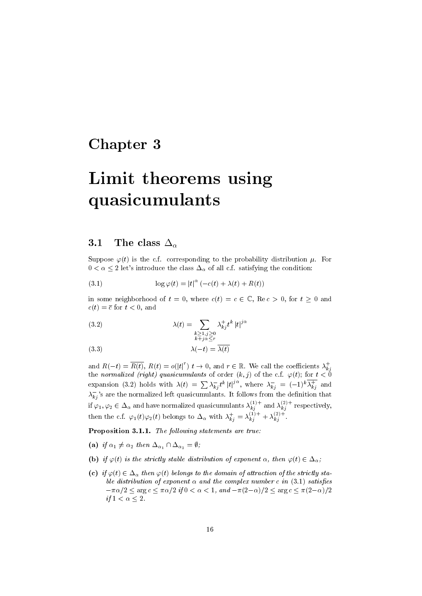### Chapter 3

# Limit theorems using quasicumulants

#### 3.1 The class  $\Delta_{\alpha}$

Suppose  $\varphi(t)$  is the c.f. corresponding to the probability distribution  $\mu$ . For  $0 < \alpha \leq 2$  let's introduce the class  $\Delta_{\alpha}$  of all c.f. satisfying the condition:

(3.1) 
$$
\log \varphi(t) = |t|^{\alpha} (-c(t) + \lambda(t) + R(t))
$$

in some neighborhood of  $t = 0$ , where  $c(t) = c \in \mathbb{C}$ , Re $c > 0$ , for  $t \ge 0$  and  $c(t) = \overline{c}$  for  $t < 0$ , and

(3.2) 
$$
\lambda(t) = \sum_{\substack{k \ge 1, j \ge 0 \\ k+j \alpha \le r}} \lambda_{kj}^+ t^k |t|^{j\alpha}
$$

$$
\lambda(-t) = \overline{\lambda(t)}
$$

and  $R(-t) = \overline{R(t)}$ ,  $R(t) = o(|t|^r)$   $t \to 0$ , and  $r \in \mathbb{R}$ . We call the coefficients  $\lambda_{kj}^+$ the normalized (right) quasicumulants of order  $(k, j)$  of the c.f.  $\varphi(t)$ ; for  $t < 0$ expansion (3.2) holds with  $\lambda(t) = \sum_{k} \lambda_{kj}^{-} t^k |t|^{j\alpha}$ , where  $\lambda_{kj}^{-} = (-1)^k \overline{\lambda_{kj}^{+}}$  and  $\lambda_{kj}^{-}$ 's are the normalized left quasicumulants. It follows from the definition that if  $\varphi_1, \varphi_2 \in \Delta_{\alpha}$  and have normalized quasicumulants  $\lambda_{kj}^{(1)+}$  and  $\lambda_{kj}^{(2)+}$  respectively, then the c.f.  $\varphi_1(t)\varphi_2(t)$  belongs to  $\Delta_{\alpha}$  with  $\lambda_{kj}^+ = \lambda_{kj}^{(1)+} + \lambda_{kj}^{(2)+}$ .

Proposition 3.1.1. The following statements are true:

- (a) if  $\alpha_1 \neq \alpha_2$  then  $\Delta_{\alpha_1} \cap \Delta_{\alpha_2} = \emptyset$ ;
- (b) if  $\varphi(t)$  is the strictly stable distribution of exponent  $\alpha$ , then  $\varphi(t) \in \Delta_{\alpha}$ ;
- (c) if  $\varphi(t) \in \Delta_{\alpha}$  then  $\varphi(t)$  belongs to the domain of attraction of the strictly stable distribution of exponent  $\alpha$  and the complex number c in (3.1) satisfies  $-\pi\alpha/2 \leq \arg c \leq \pi\alpha/2$  if  $0 < \alpha < 1$ , and  $-\pi(2-\alpha)/2 \leq \arg c \leq \pi(2-\alpha)/2$ if  $1 < \alpha \leq 2$ .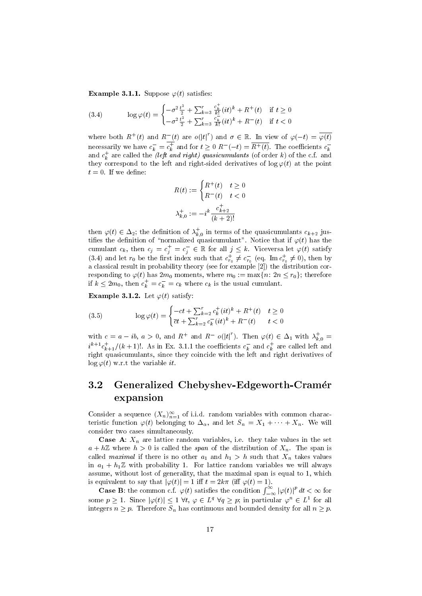**Example 3.1.1.** Suppose  $\varphi(t)$  satisfies:

(3.4) 
$$
\log \varphi(t) = \begin{cases} -\sigma^2 \frac{t^2}{2} + \sum_{k=3}^r \frac{c_k^+}{k!} (it)^k + R^+(t) & \text{if } t \ge 0\\ -\sigma^2 \frac{t^2}{2} + \sum_{k=3}^r \frac{c_k^-}{k!} (it)^k + R^-(t) & \text{if } t < 0 \end{cases}
$$

where both  $R^+(t)$  and  $R^-(t)$  are  $o(|t|^r)$  and  $\sigma \in \mathbb{R}$ . In view of  $\varphi(-t) = \overline{\varphi(t)}$ necessarily we have  $c_k^- = c_k^+$  and for  $t \geq 0$   $R^-(-t) = \overline{R^+(t)}$ . The coefficients  $c_k^$ and  $c_k^+$  are called the *(left and right)* quasicumulants (of order k) of the c.f. and they correspond to the left and right-sided derivatives of  $\log \varphi(t)$  at the point  $t=0$ . If we define:

$$
R(t) := \begin{cases} R^+(t) & t \ge 0 \\ R^-(t) & t < 0 \end{cases}
$$
\n
$$
\lambda_{k,0}^+ := -i^k \frac{c_{k+2}^+}{(k+2)!}
$$

then  $\varphi(t) \in \Delta_2$ ; the definition of  $\lambda_{k,0}^+$  in terms of the quasicumulants  $c_{k+2}$  justifies the definition of "normalized quasicumulant". Notice that if  $\varphi(t)$  has the cumulant  $c_k$ , then  $c_j = c_j^+ = c_j^- \in \mathbb{R}$  for all  $j \leq k$ . Viceversa let  $\varphi(t)$  satisfy (3.4) and let  $r_0$  be the first index such that  $c_{r_0}^+ \neq c_{r_0}^-$  (eq. Im  $c_{r_0}^+ \neq 0$ ), then by a classical result in probability theory (see for example [2]) the distribution corresponding to  $\varphi(t)$  has  $2m_0$  moments, where  $m_0 := \max\{n: 2n \le r_0\}$ ; therefore if  $k \leq 2m_0$ , then  $c_k^+ = c_k^- = c_k$  where  $c_k$  is the usual cumulant.

**Example 3.1.2.** Let  $\varphi(t)$  satisfy:

(3.5) 
$$
\log \varphi(t) = \begin{cases} -ct + \sum_{k=2}^{r} c_k^+(it)^k + R^+(t) & t \ge 0\\ \overline{c}t + \sum_{k=2}^{r} c_k^-(it)^k + R^-(t) & t < 0 \end{cases}
$$

with  $c = a - ib$ ,  $a > 0$ , and  $R^+$  and  $R^- o(|t|^r)$ . Then  $\varphi(t) \in \Delta_1$  with  $\lambda_{k,0}^+$  $i^{k+1}c_{k+1}^+/(k+1)!$ . As in Ex. 3.1.1 the coefficients  $c_k^-$  and  $c_k^+$  are called left and right quasicumulants, since they coincide with the left and right derivatives of  $\log \varphi(t)$  w.r.t the variable *it*.

#### 3.2 Generalized Chebyshev-Edgeworth-Cramer expansion

Consider a sequence  $(X_n)_{n=1}^{\infty}$  of i.i.d. random variables with common characteristic function  $\varphi(t)$  belonging to  $\Delta_{\alpha}$ , and let  $S_n = X_1 + \cdots + X_n$ . We will consider two cases simultaneously.

**Case A:**  $X_n$  are lattice random variables, i.e. they take values in the set  $a + h\mathbb{Z}$  where  $h > 0$  is called the *span* of the distribution of  $X_n$ . The span is called *maximal* if there is no other  $a_1$  and  $h_1 > h$  such that  $X_n$  takes values in  $a_1 + h_1 \mathbb{Z}$  with probability 1. For lattice random variables we will always assume, without lost of generality, that the maximal span is equal to 1, which is equivalent to say that  $|\varphi(t)| = 1$  iff  $t = 2k\pi$  (iff  $\varphi(t) = 1$ ).

**Case B**: the common c.f.  $\varphi(t)$  satisfies the condition  $\int_{-\infty}^{\infty} |\varphi(t)|^p dt < \infty$  for some  $p \geq 1$ . Since  $|\varphi(t)| \leq 1 \ \forall t, \varphi \in L^q \ \forall q \geq p$ ; in particular  $\varphi^n \in L^1$  for all integers  $n \geq p$ . Therefore  $S_n$  has continuous and bounded density for all  $n \geq p$ .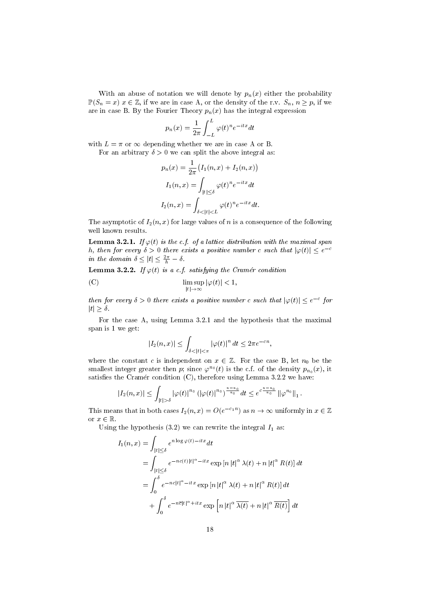With an abuse of notation we will denote by  $p_n(x)$  either the probability  $\mathbb{P}(S_n = x)$   $x \in \mathbb{Z}$ , if we are in case A, or the density of the r.v.  $S_n$ ,  $n \geq p$ , if we are in case B. By the Fourier Theory  $p_n(x)$  has the integral expression

$$
p_n(x) = \frac{1}{2\pi} \int_{-L}^{L} \varphi(t)^n e^{-itx} dt
$$

with  $L = \pi$  or  $\infty$  depending whether we are in case A or B.

For an arbitrary  $\delta > 0$  we can split the above integral as:

$$
p_n(x) = \frac{1}{2\pi} (I_1(n, x) + I_2(n, x))
$$

$$
I_1(n, x) = \int_{|t| \le \delta} \varphi(t)^n e^{-itx} dt
$$

$$
I_2(n, x) = \int_{\delta < |t| < L} \varphi(t)^n e^{-itx} dt.
$$

The asymptotic of  $I_2(n, x)$  for large values of n is a consequence of the following well known results

**Lemma 3.2.1.** If  $\varphi(t)$  is the c.f. of a lattice distribution with the maximal span h, then for every  $\delta > 0$  there exists a positive number c such that  $|\varphi(t)| \leq e^{-c}$ in the domain  $\delta \leq |t| \leq \frac{2\pi}{h} - \delta$ .

**Lemma 3.2.2.** If  $\varphi(t)$  is a c.f. satisfying the Cramér condition

(C) 
$$
\limsup_{|t| \to \infty} |\varphi(t)| < 1,
$$

then for every  $\delta > 0$  there exists a positive number c such that  $|\varphi(t)| \leq e^{-c}$  for  $|t|\geq \delta$ .

For the case A, using Lemma 3.2.1 and the hypothesis that the maximal span is 1 we get:

$$
|I_2(n,x)| \leq \int_{\delta < |t| < \pi} |\varphi(t)|^n \, dt \leq 2\pi e^{-cn},
$$

where the constant c is independent on  $x \in \mathbb{Z}$ . For the case B, let  $n_0$  be the smallest integer greater then p; since  $\varphi^{n_0}(t)$  is the c.f. of the density  $p_{n_0}(x)$ , it satisfies the Cramér condition  $(C)$ , therefore using Lemma 3.2.2 we have:

$$
|I_2(n,x)| \leq \int_{|t| > \delta} |\varphi(t)|^{n_0} \left( |\varphi(t)|^{n_0} \right)^{\frac{n-n_0}{n_0}} dt \leq e^{c \frac{n-n_0}{n_0}} ||\varphi^{n_0}||_1.
$$

This means that in both cases  $I_2(n,x) = O(e^{-c_1 n})$  as  $n \to \infty$  uniformly in  $x \in \mathbb{Z}$ or  $x \in \mathbb{R}$ .

Using the hypothesis  $(3.2)$  we can rewrite the integral  $I_1$  as:

$$
I_1(n, x) = \int_{|t| \le \delta} e^{n \log \varphi(t) - itx} dt
$$
  
= 
$$
\int_{|t| \le \delta} e^{-nc(t)|t|^{\alpha} - itx} \exp [n |t|^{\alpha} \lambda(t) + n |t|^{\alpha} R(t)] dt
$$
  
= 
$$
\int_0^{\delta} e^{-nc|t|^{\alpha} - itx} \exp [n |t|^{\alpha} \lambda(t) + n |t|^{\alpha} R(t)] dt
$$
  
+ 
$$
\int_0^{\delta} e^{-n\overline{c}|t|^{\alpha} + itx} \exp [n |t|^{\alpha} \overline{\lambda(t)} + n |t|^{\alpha} \overline{R(t)} dt
$$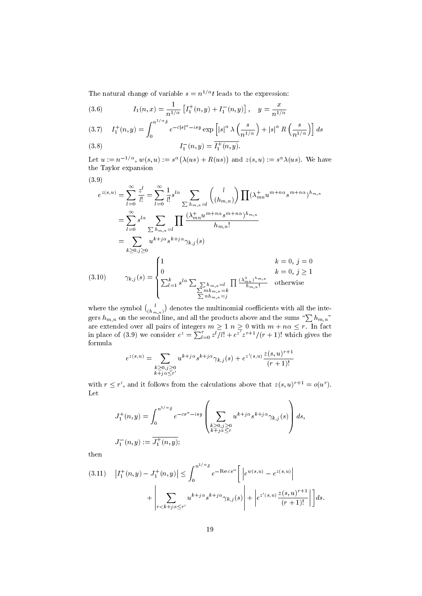The natural change of variable  $s = n^{1/\alpha}t$  leads to the expression:

(3.6) 
$$
I_1(n,x) = \frac{1}{n^{1/\alpha}} \left[ I_1^+(n,y) + I_1^-(n,y) \right], \quad y = \frac{x}{n^{1/\alpha}}.
$$

$$
(3.7) \quad I_1^+(n,y) = \int_0^{n^{1/\alpha}\delta} e^{-c|s|^\alpha - isy} \exp\left[|s|^\alpha \lambda\left(\frac{s}{n^{1/\alpha}}\right) + |s|^\alpha R\left(\frac{s}{n^{1/\alpha}}\right)\right] ds
$$

(3.8) 
$$
I_1^-(n, y) = I_1^+(n, y).
$$

Let  $u := n^{-1/\alpha}$ ,  $w(s, u) := s^{\alpha} (\lambda(us) + R(us))$  and  $z(s, u) := s^{\alpha} \lambda(us)$ . We have the Taylor expansion

$$
(3.9)
$$

$$
e^{z(s,u)} = \sum_{l=0}^{\infty} \frac{z^l}{l!} = \sum_{l=0}^{\infty} \frac{1}{l!} s^{l\alpha} \sum_{\sum h_{m,n}=l} {l \choose(h_{m,n})} \prod (\lambda_{mn}^+ u^{m+n\alpha} s^{m+n\alpha})^{h_{m,n}}
$$
  
\n
$$
= \sum_{l=0}^{\infty} s^{l\alpha} \sum_{\sum h_{m,n}=l} \prod \frac{(\lambda_{mn}^+ u^{m+n\alpha} s^{m+n\alpha})^{h_{m,n}}}{h_{m,n}!}
$$
  
\n
$$
= \sum_{k\geq 0, j\geq 0} u^{k+j\alpha} s^{k+j\alpha} \gamma_{k,j}(s)
$$
  
\n(3.10) 
$$
\gamma_{k,j}(s) = \begin{cases} 1 & k=0, j=0\\ 0 & k=0, j \geq 1\\ \sum_{l=1}^k s^{l\alpha} \sum_{\sum h_{m,n}=l} h_{m,n}=k} \prod \frac{(\lambda_{mn}^+)^{h_{m,n}}}{h_{m,n}!} & \text{otherwise} \end{cases}
$$

where the symbol  $\binom{l}{(h_{m,n})}$  denotes the multinomial coefficients with all the integers  $h_{m,n}$  on the second line, and all the products above and the sums " $\sum h_{m,n}$ " are extended over all pairs of integers  $m \geq 1$   $n \geq 0$  with  $m + n\alpha \leq r$ . In fact in place of (3.9) we consider  $e^z = \sum_{l=0}^r z^l \overline{\smash{\big)} l!} + e^{z\overline{\smash{\big)}}} z^{r+1}/(r+1)!$  which gives the formula

$$
e^{z(s,u)} = \sum_{\substack{k \ge 0, j \ge 0 \\ k+j\alpha \le r'}} u^{k+j\alpha} s^{k+j\alpha} \gamma_{k,j}(s) + e^{z'(s,u)} \frac{z(s,u)^{r+1}}{(r+1)!}
$$

with  $r \leq r'$ , and it follows from the calculations above that  $z(s, u)^{r+1} = o(u^r)$ . Let

$$
J_1^+(n, y) = \int_0^{n^{1/\alpha} \delta} e^{-cs^{\alpha} - isy} \left( \sum_{\substack{k \ge 0, j \ge 0 \\ k+j \alpha \le r}} u^{k+j \alpha} s^{k+j \alpha} \gamma_{k,j}(s) \right) ds,
$$
  

$$
J_1^-(n, y) := \overline{J_1^+(n, y)};
$$

then

$$
(3.11) \quad \left| I_1^+(n,y) - J_1^+(n,y) \right| \leq \int_0^{n^{1/\alpha}\delta} e^{-\operatorname{Re} c s^{\alpha}} \left[ \left| e^{w(s,u)} - e^{z(s,u)} \right| + \left| \sum_{r < k+j} u^{k+j\alpha} s^{k+j\alpha} \gamma_{k,j}(s) \right| + \left| e^{z'(s,u)} \frac{z(s,u)^{r+1}}{(r+1)!} \right| \right] ds.
$$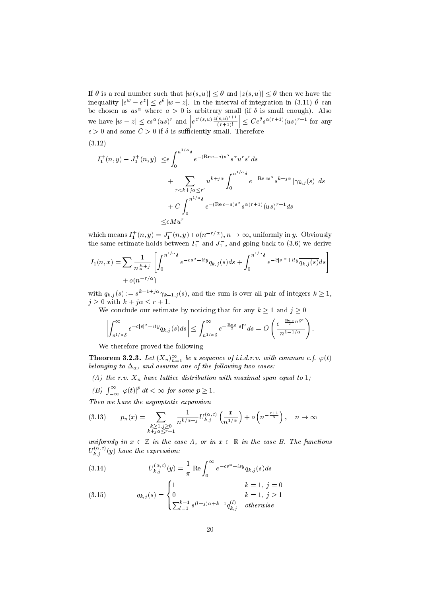If  $\theta$  is a real number such that  $|w(s, u)| \leq \theta$  and  $|z(s, u)| \leq \theta$  then we have the inequality  $|e^w - e^z| \le e^{\theta} |w - z|$ . In the interval of integration in (3.11)  $\theta$  can be chosen as  $as^{\alpha}$  where  $a > 0$  is arbitrary small (if  $\delta$  is small enough). Also we have  $|w - z| \le \epsilon s^{\alpha} (us)^r$  and  $\epsilon s > 0$  and  $\epsilon s > 0$  if  $s \in \mathbb{R}$ .  $e^{z'(s,u)} \frac{z(s,u)^{r+1}}{(r+1)!}$  $\left|\frac{(s,u)^{r+1}}{(r+1)!}\right| \leq Ce^{\theta} s^{\alpha(r+1)}(us)^{r+1}$  for any  $\epsilon > 0$  and some  $C > 0$  if  $\delta$  is sufficiently small. Therefore

$$
(3.12)
$$

$$
\begin{aligned} \left| I_1^+(n,y) - J_1^+(n,y) \right| &\leq & \epsilon \int_0^{n^{1/\alpha}\delta} e^{-(\text{Re}\,c-a)s^\alpha} s^\alpha u^r s^r ds \\ &+ \sum_{r < k+j\alpha \leq r'} u^{k+j\alpha} \int_0^{n^{1/\alpha}\delta} e^{-\text{Re}\,cs^\alpha} s^{k+j\alpha} \left| \gamma_{k,j}(s) \right| ds \\ &+ C \int_0^{n^{1/\alpha}\delta} e^{-(\text{Re}\,c-a)s^\alpha} s^{\alpha(r+1)} (us)^{r+1} ds \\ &\leq & \epsilon Mu^r \end{aligned}
$$

which means  $I_1^+(n, y) = J_1^+(n, y) + o(n^{-r/\alpha})$ ,  $n \to \infty$ , uniformly in y. Obviously the same estimate holds between  $I_1^-$  and  $J_1^-$ , and going back to (3.6) we derive

$$
I_1(n,x) = \sum_{n \atop{\alpha=1}} \frac{1}{n^{\frac{k}{\alpha}+j}} \left[ \int_0^{n^{1/\alpha}\delta} e^{-cs^{\alpha}-ity} q_{k,j}(s) ds + \int_0^{n^{1/\alpha}\delta} e^{-\overline{c}|s|^{\alpha}+ity} \overline{q_{k,j}(s)} ds \right] + o(n^{-r/\alpha})
$$

with  $q_{k,j}(s) := s^{k-1+j\alpha} \gamma_{k-1,j}(s)$ , and the sum is over all pair of integers  $k \geq 1$ ,  $j \geq 0$  with  $k + j\alpha \leq r + 1$ .

We conclude our estimate by noticing that for any  $k \geq 1$  and  $j \geq 0$ 

$$
\left|\int_{n^{1/\alpha}\delta}^{\infty}e^{-c|s|^{\alpha}-ity}q_{k,j}(s)ds\right|\leq \int_{n^{1/\alpha}\delta}^{\infty}e^{-\frac{\text{Re}\,c}{2}|s|^{\alpha}}ds=O\left(\frac{e^{-\frac{\text{Re}\,c}{2}n\delta^{\alpha}}}{n^{1-1/\alpha}}\right).
$$

We therefore proved the following

**Theorem 3.2.3.** Let  $(X_n)_{n=1}^{\infty}$  be a sequence of i.i.d.r.v. with common c.f.  $\varphi(t)$ belonging to  $\Delta_{\alpha}$ , and assume one of the following two cases:

- (A) the r.v.  $X_n$  have lattice distribution with maximal span equal to 1;
- (B)  $\int_{-\infty}^{\infty} |\varphi(t)|^p dt < \infty$  for some  $p \geq 1$ .

Then we have the asymptotic expansion

$$
(3.13) \t p_n(x) = \sum_{\substack{k \ge 1, j \ge 0 \\ k+j \alpha \le r+1}} \frac{1}{n^{k/\alpha+j}} U_{k,j}^{(\alpha,c)} \left(\frac{x}{n^{1/\alpha}}\right) + o\left(n^{-\frac{r+1}{\alpha}}\right), \quad n \to \infty
$$

uniformly in  $x \in \mathbb{Z}$  in the case A, or in  $x \in \mathbb{R}$  in the case B. The functions  $U_{k,j}^{(\alpha,c)}(y)$  have the expression:

(3.14) 
$$
U_{k,j}^{(\alpha,c)}(y) = \frac{1}{\pi} \operatorname{Re} \int_0^{\infty} e^{-cs^{\alpha} - isy} q_{k,j}(s) ds
$$

(3.15) 
$$
q_{k,j}(s) = \begin{cases} 1 & k = 1, j = 0 \\ 0 & k = 1, j \ge 1 \\ \sum_{l=1}^{k-1} s^{(l+j)\alpha + k - 1} q_{k,j}^{(l)} & otherwise \end{cases}
$$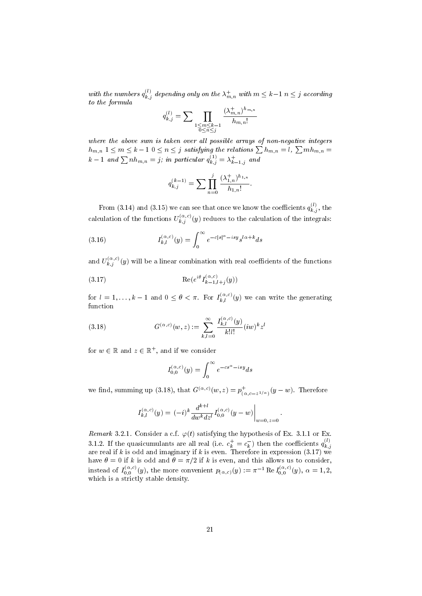with the numbers  $q_{k,j}^{(l)}$  depending only on the  $\lambda_{m,n}^+$  with  $m\leq k-1$   $n\leq j$  according to the formula

$$
q_{k,j}^{(l)} = \sum_{\substack{1 \le m \le k-1 \\ 0 \le n \le j}} \frac{(\lambda_{m,n}^+)^{h_{m,n}}}{h_{m,n}!}
$$

where the above sum is taken over all possible arrays of non-negative integers  $h_{m,n}$   $1\leq m\leq k-1$   $0\leq n\leq j$  satisfying the relations  $\sum h_{m,n}=l,$   $\sum mh_{m,n}=l$  $k-1$  and  $\sum nh_{m,n}=j;$  in particular  $q_{k,j}^{(1)}=\lambda_{k-1,j}^{+}$  and

$$
q_{k,j}^{(k-1)} = \sum \prod_{n=0}^{j} \frac{(\lambda_{1,n}^+)^{h_{1,n}}}{h_{1,n}!}.
$$

From (3.14) and (3.15) we can see that once we know the coefficients  $q_{k,j}^{(l)}$ , the calculation of the functions  $U_{k,j}^{(\alpha,c)}(y)$  reduces to the calculation of the integrals:

(3.16) 
$$
I_{k,l}^{(\alpha,c)}(y) = \int_0^\infty e^{-c|s|^\alpha - i s y} s^{l\alpha + k} ds
$$

and  $U_{k,j}^{(\alpha,c)}(y)$  will be a linear combination with real coefficients of the functions

(3.17) 
$$
\operatorname{Re}(e^{i\theta}I_{k-1,l+j}^{(\alpha,c)}(y))
$$

for  $l = 1, ..., k - 1$  and  $0 \le \theta < \pi$ . For  $I_{k,l}^{(\alpha,c)}(y)$  we can write the generating function

(3.18) 
$$
G^{(\alpha,c)}(w,z) := \sum_{k,l=0}^{\infty} \frac{I_{k,l}^{(\alpha,c)}(y)}{k!l!} (iw)^k z^l
$$

for  $w \in \mathbb{R}$  and  $z \in \mathbb{R}^+$ , and if we consider

$$
I_{0,0}^{(\alpha,c)}(y) = \int_0^\infty e^{-cs^\alpha - isy} ds
$$

we find, summing up (3.18), that  $G^{(\alpha,c)}(w,z) = p_{\alpha}^+$  $\int_{(\alpha,c-z^{1/\alpha})}^+(y-w).$  Therefore

$$
I_{k,l}^{(\alpha,c)}(y) = (-i)^k \frac{d^{k+l}}{dw^k dz^l} I_{0,0}^{(\alpha,c)}(y-w) \Big|_{w=0, z=0}.
$$

Remark 3.2.1. Consider a c.f.  $\varphi(t)$  satisfying the hypothesis of Ex. 3.1.1 or Ex. 3.1.2. If the quasicumulants are all real (i.e.  $c_k^+ = c_k^-$ ) then the coefficients  $q_{k,\zeta}^{(l)}$ are real if k is odd and imaginary if k is even. Therefore in expression (3.17) we are real if k is odd and imaginary if k is even. Therefore in expression (3.17) we have  $\theta = 0$  if k is odd and  $\theta = \pi/2$  if k is even, and this allows us to consider, instead of  $I_{0,0}^{(\alpha,c)}(y)$ , the more convenient  $p_{(\alpha,c)}(y) := \pi^{-1} \text{ Re } I_{0,0}^{(\alpha,c)}(y), \alpha = 1, 2,$ which is a strictly stable density.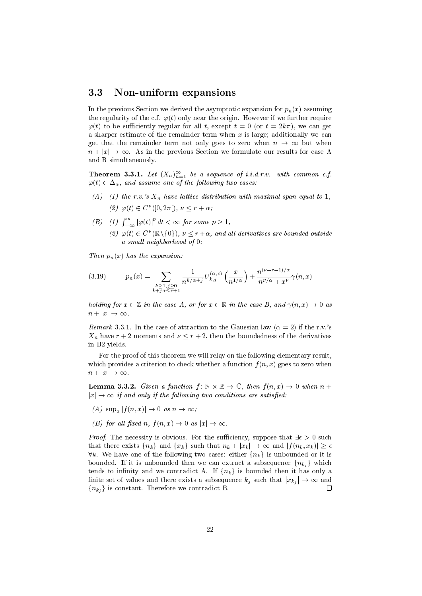#### 3.3 Non-uniform expansions

In the previous Section we derived the asymptotic expansion for  $p_n(x)$  assuming the regularity of the c.f.  $\varphi(t)$  only near the origin. However if we further require  $\varphi(t)$  to be sufficiently regular for all t, except  $t = 0$  (or  $t = 2k\pi$ ), we can get a sharper estimate of the remainder term when  $x$  is large; additionally we can get that the remainder term not only goes to zero when  $n \to \infty$  but when  $n + |x| \to \infty$ . As in the previous Section we formulate our results for case A and B simultaneously.

**Theorem 3.3.1.** Let  $(X_n)_{n=1}^{\infty}$  be a sequence of i.i.d.r.v. with common c.f.  $\varphi(t) \in \Delta_{\alpha}$ , and assume one of the following two cases:

- (A) (1) the r.v.'s  $X_n$  have lattice distribution with maximal span equal to 1, (2)  $\varphi(t) \in C^{\nu}(]0, 2\pi[), \nu \leq r + \alpha;$
- (B) (1)  $\int_{-\infty}^{\infty} |\varphi(t)|^p dt < \infty$  for some  $p \ge 1$ , (2)  $\varphi(t) \in C^{\nu}(\mathbb{R} \setminus \{0\}), \nu \leq r+\alpha$ , and all derivatives are bounded outside a small neighborhood of 0;

Then  $p_n(x)$  has the expansion:

(3.19) 
$$
p_n(x) = \sum_{\substack{k \ge 1, j \ge 0 \\ k+j \alpha \le r+1}} \frac{1}{n^{k/\alpha+j}} U_{k,j}^{(\alpha,c)} \left(\frac{x}{n^{1/\alpha}}\right) + \frac{n^{(\nu-r-1)/\alpha}}{n^{\nu/\alpha} + x^{\nu}} \gamma(n, x)
$$

holding for  $x \in \mathbb{Z}$  in the case A, or for  $x \in \mathbb{R}$  in the case B, and  $\gamma(n, x) \to 0$  as  $n + |x| \rightarrow \infty$ .

Remark 3.3.1. In the case of attraction to the Gaussian law  $(\alpha = 2)$  if the r.v.'s  $X_n$  have  $r+2$  moments and  $\nu \leq r+2$ , then the boundedness of the derivatives in B2 yields.

For the proof of this theorem we will relay on the following elementary result, which provides a criterion to check whether a function  $f(n, x)$  goes to zero when  $n + |x| \rightarrow \infty$ .

**Lemma 3.3.2.** Given a function  $f: \mathbb{N} \times \mathbb{R} \to \mathbb{C}$ , then  $f(n,x) \to 0$  when  $n +$  $|x| \to \infty$  if and only if the following two conditions are satisfied:

- $(A) \sup_x |f(n,x)| \to 0 \text{ as } n \to \infty;$
- (B) for all fixed n,  $f(n,x) \rightarrow 0$  as  $|x| \rightarrow \infty$ .

*Proof.* The necessity is obvious. For the sufficiency, suppose that  $\exists \epsilon > 0$  such that there exists  $\{n_k\}$  and  $\{x_k\}$  such that  $n_k + |x_k| \to \infty$  and  $|f(n_k, x_k)| \geq \epsilon$  $\forall k$ . We have one of the following two cases: either  $\{n_k\}$  is unbounded or it is bounded. If it is unbounded then we can extract a subsequence  $\{n_{k_i}\}\$  which tends to infinity and we contradict A. If  ${n_k}$  is bounded then it has only a finite set of values and there exists a subsequence  $k_j$  such that  $|x_{k_j}| \to \infty$  and  ${n_{k_i}}$  is constant. Therefore we contradict B.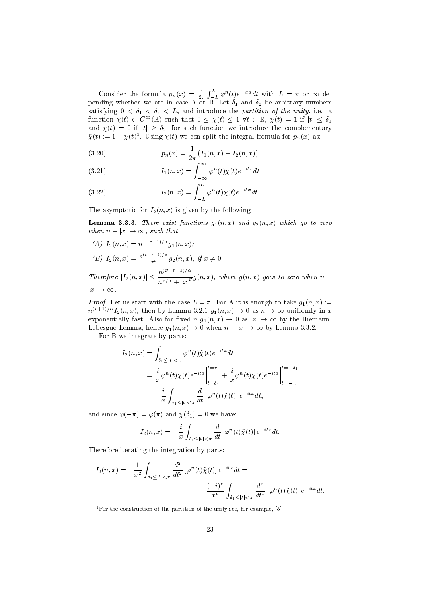Consider the formula  $p_n(x) = \frac{1}{2\pi} \int_{-L}^{L} \varphi^n(t) e^{-itx} dt$  with  $L = \pi$  or  $\infty$  depending whether we are in case A or B. Let  $\delta_1$  and  $\delta_2$  be arbitrary numbers satisfying  $0 < \delta_1 < \delta_2 < L$ , and introduce the partition of the unity, i.e. a function  $\chi(t) \in C^{\infty}(\mathbb{R})$  such that  $0 \leq \chi(t) \leq 1 \ \forall t \in \mathbb{R}, \chi(t) = 1$  if  $|t| \leq \delta_1$ and  $\chi(t) = 0$  if  $|t| \geq \delta_2$ ; for such function we introduce the complementary  $\tilde{\chi}(t) := 1 - \chi(t)^1$ . Using  $\chi(t)$  we can split the integral formula for  $p_n(x)$  as:

(3.20) 
$$
p_n(x) = \frac{1}{2\pi} (I_1(n, x) + I_2(n, x))
$$

(3.21) 
$$
I_1(n,x) = \int_{-\infty}^{\infty} \varphi^n(t) \chi(t) e^{-itx} dt
$$

(3.22) 
$$
I_2(n,x) = \int_{-L}^{L} \varphi^n(t) \tilde{\chi}(t) e^{-itx} dt.
$$

The asymptotic for  $I_2(n, x)$  is given by the following:

**Lemma 3.3.3.** There exist functions  $g_1(n, x)$  and  $g_2(n, x)$  which go to zero when  $n + |x| \rightarrow \infty$ , such that

(A) 
$$
I_2(n, x) = n^{-(r+1)/\alpha} g_1(n, x)
$$
;  
\n(B)  $I_2(n, x) = \frac{n^{(\nu - r - 1)/\alpha}}{x^{\nu}} g_2(n, x)$ , if  $x \neq 0$ .  
\nTherefore  $|I_2(n, x)| \leq \frac{n^{(\nu - r - 1)/\alpha}}{n^{\nu/\alpha} + |x|^{\nu}} g(n, x)$ , where  $g(n, x)$  goes to zero when  $n + |x| \to \infty$ .

*Proof.* Let us start with the case  $L = \pi$ . For A it is enough to take  $g_1(n, x) :=$  $n^{(r+1)/\alpha}I_2(n,x)$ ; then by Lemma 3.2.1  $g_1(n,x) \to 0$  as  $n \to \infty$  uniformly in x exponentially fast. Also for fixed  $n g_1(n,x) \to 0$  as  $|x| \to \infty$  by the Riemann-Lebesgue Lemma, hence  $g_1(n, x) \to 0$  when  $n + |x| \to \infty$  by Lemma 3.3.2.

For B we integrate by parts:

$$
I_2(n, x) = \int_{\delta_1 \leq |t| < \pi} \varphi^n(t) \tilde{\chi}(t) e^{-itx} dt
$$
\n
$$
= \frac{i}{x} \varphi^n(t) \tilde{\chi}(t) e^{-itx} \Big|_{t=\delta_1}^{t=\pi} + \frac{i}{x} \varphi^n(t) \tilde{\chi}(t) e^{-itx} \Big|_{t=-\pi}^{t=-\delta_1}
$$
\n
$$
- \frac{i}{x} \int_{\delta_1 \leq |t| < \pi} \frac{d}{dt} \left[ \varphi^n(t) \tilde{\chi}(t) \right] e^{-itx} dt,
$$

and since  $\varphi(-\pi) = \varphi(\pi)$  and  $\tilde{\chi}(\delta_1) = 0$  we have:

$$
I_2(n,x) = -\frac{i}{x} \int_{\delta_1 \leq |t| < \pi} \frac{d}{dt} \left[ \varphi^n(t) \tilde{\chi}(t) \right] e^{-itx} dt.
$$

Therefore iterating the integration by parts:

$$
I_2(n,x) = -\frac{1}{x^2} \int_{\delta_1 \leq |t| < \pi} \frac{d^2}{dt^2} \left[ \varphi^n(t) \tilde{\chi}(t) \right] e^{-itx} dt = \cdots
$$
\n
$$
= \frac{(-i)^{\nu}}{x^{\nu}} \int_{\delta_1 \leq |t| < \pi} \frac{d^{\nu}}{dt^{\nu}} \left[ \varphi^n(t) \tilde{\chi}(t) \right] e^{-itx} dt.
$$

<sup>&</sup>lt;sup>1</sup>For the construction of the partition of the unity see, for example, [5]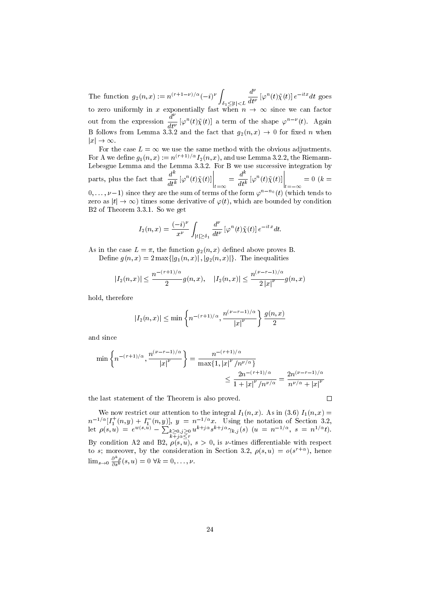The function  $g_2(n,x) := n^{(r+1-\nu)/\alpha}(-i)^{\nu}$  $\delta_1 \leq |t| < L$  $d^{\nu}$  $\frac{d}{dt^{\nu}}\left[\varphi^{n}(t)\tilde{\chi}(t)\right]e^{-itx}dt$  goes to zero uniformly in x exponentially fast when  $n \to \infty$  since we can factor out from the expression  $\frac{d^{\nu}}{dt}$  $\frac{d}{dt^{\nu}}\left[\varphi^{n}(t)\tilde{\chi}(t)\right]$  a term of the shape  $\varphi^{n-\nu}(t)$ . Again B follows from Lemma 3.3.2 and the fact that  $g_2(n,x) \to 0$  for fixed n when  $|x| \to \infty$ .

For the case  $L = \infty$  we use the same method with the obvious adjustments. For A we define  $g_1(n,x) := n^{(r+1)/\alpha} I_2(n,x)$ , and use Lemma 3.2.2, the Riemann-Lebesgue Lemma and the Lemma 3.3.2. For B we use successive integration by parts, plus the fact that  $\frac{d^k}{dt^k}$  $\left.\frac{d^k}{dt^k}\left[\varphi^n(t)\tilde{\chi}(t)\right]\right|_{t=\infty}$  $=\frac{d^k}{dt}$  $\left.\frac{d^k}{dt^k}\left[\varphi^n(t)\tilde{\chi}(t)\right]\right|_{t=-\infty}$  $= 0 (k =$  $(0, \ldots, \nu-1)$  since they are the sum of terms of the form  $\varphi^{n-n_0}(t)$  (which tends to zero as  $|t| \to \infty$ ) times some derivative of  $\varphi(t)$ , which are bounded by condition B2 of Theorem 3.3.1. So we get

$$
I_2(n,x) = \frac{(-i)^{\nu}}{x^{\nu}} \int_{|t| \ge \delta_1} \frac{d^{\nu}}{dt^{\nu}} \left[ \varphi^n(t) \tilde{\chi}(t) \right] e^{-itx} dt.
$$

As in the case  $L = \pi$ , the function  $g_2(n, x)$  defined above proves B. Define  $g(n, x) = 2 \max\{|g_1(n, x)|, |g_2(n, x)|\}.$  The inequalities

$$
|I_2(n,x)|\leq \frac{n^{-(r+1)/\alpha}}{2}g(n,x),\quad |I_2(n,x)|\leq \frac{n^{(\nu-r-1)/\alpha}}{2\left|x\right|^\nu}g(n,x)
$$

hold, therefore

$$
|I_2(n,x)| \le \min\left\{n^{-(r+1)/\alpha}, \frac{n^{(\nu-r-1)/\alpha}}{|x|^\nu}\right\} \frac{g(n,x)}{2}
$$

and since

$$
\min\left\{n^{-(r+1)/\alpha}, \frac{n^{(\nu-r-1)/\alpha}}{|x|^\nu}\right\} = \frac{n^{-(r+1)/\alpha}}{\max\{1, |x|^\nu/n^{\nu/\alpha}\}} \le \frac{2n^{-(r+1)/\alpha}}{1+|x|^\nu/n^{\nu/\alpha}} = \frac{2n^{(\nu-r-1)/\alpha}}{n^{\nu/\alpha}+|x|^\nu}
$$

the last statement of the Theorem is also proved.

 $\Box$ 

We now restrict our attention to the integral  $I_1(n,x)$ . As in (3.6)  $I_1(n,x)$  =  $n^{-1/\alpha} [I_1^+(n,y) + I_1^-(n,y)], \ y = n^{-1/\alpha} x.$  Using the notation of Section 3.2, let  $\rho(s, u) = e^{w(s, u)} - \sum_{\substack{k \ge 0, j \ge 0 \\ k+j \alpha \le r}}$  $u^{k+j\alpha}s^{k+j\alpha}\gamma_{k,j}(s)$   $(u = n^{-1/\alpha}, s = n^{1/\alpha}t).$ By condition A2 and B2,  $\rho(s, u)$ ,  $s > 0$ , is v-times differentiable with respect to s; moreover, by the consideration in Section 3.2,  $\rho(s, u) = o(s^{r+\alpha})$ , hence  $\lim_{s\to 0} \frac{\partial^k \rho}{\partial s^k}(s, u) = 0 \,\forall k = 0, \ldots, \nu.$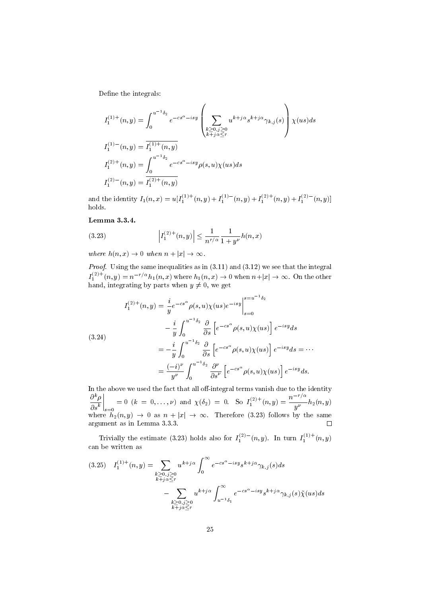Define the integrals:

$$
I_1^{(1)+}(n, y) = \int_0^{u^{-1}\delta_2} e^{-cs^\alpha - isy} \left( \sum_{\substack{k \ge 0, j \ge 0 \\ k+j\alpha \le r}} u^{k+j\alpha} s^{k+j\alpha} \gamma_{k,j}(s) \right) \chi(us) ds
$$
  

$$
I_1^{(1)-}(n, y) = \overline{I_1^{(1)+}(n, y)}
$$
  

$$
I_1^{(2)+}(n, y) = \int_0^{u^{-1}\delta_2} e^{-cs^\alpha - isy} \rho(s, u) \chi(us) ds
$$
  

$$
I_1^{(2)-}(n, y) = \overline{I_1^{(2)+}(n, y)}
$$

and the identity  $I_1(n,x) = u[I_1^{(1)+}(n,y) + I_1^{(1)-}(n,y) + I_1^{(2)+}(n,y) + I_1^{(2)-}(n,y)]$ holds.

#### Lemma 3.3.4.

(3.23) 
$$
\left| I_1^{(2)+}(n,y) \right| \leq \frac{1}{n^{r/\alpha}} \frac{1}{1+y^{\nu}} h(n,x)
$$

where  $h(n, x) \rightarrow 0$  when  $n + |x| \rightarrow \infty$ .

*Proof.* Using the same inequalities as in  $(3.11)$  and  $(3.12)$  we see that the integral  $I_1^{(2)+}(n, y) = n^{-r/\alpha} h_1(n, x)$  where  $h_1(n, x) \to 0$  when  $n+|x| \to \infty$ . On the other hand, integrating by parts when  $y \neq 0$ , we get

(3.24)  
\n
$$
I_1^{(2)+}(n, y) = \frac{i}{y} e^{-cs^{\alpha}} \rho(s, u) \chi(us) e^{-isy} \Big|_{s=0}^{s=u^{-1}\delta_2}
$$
\n
$$
- \frac{i}{y} \int_0^{u^{-1}\delta_2} \frac{\partial}{\partial s} \left[ e^{-cs^{\alpha}} \rho(s, u) \chi(us) \right] e^{-isy} ds
$$
\n
$$
= -\frac{i}{y} \int_0^{u^{-1}\delta_2} \frac{\partial}{\partial s} \left[ e^{-cs^{\alpha}} \rho(s, u) \chi(us) \right] e^{-isy} ds = \cdots
$$
\n
$$
= \frac{(-i)^{\nu}}{y^{\nu}} \int_0^{u^{-1}\delta_2} \frac{\partial^{\nu}}{\partial s^{\nu}} \left[ e^{-cs^{\alpha}} \rho(s, u) \chi(us) \right] e^{-isy} ds.
$$

In the above we used the fact that all off-integral terms vanish due to the identity  $\partial^k \rho$  $\partial s^k$  $\Bigg|_{s=0}$  $= 0 \ (k = 0, \ldots, \nu) \text{ and } \chi(\delta_2) = 0. \text{ So } I_1^{(2)+}(n, y) = \frac{n^{-r/\alpha}}{n^{\nu}}$  $\overline{y^{\nu}}$   $h_2(n,y)$ where  $h_2(n, y) \rightarrow 0$  as  $n + |x| \rightarrow \infty$ . Therefore (3.23) follows by the same argument as in Lemma 3.3.3.

Trivially the estimate (3.23) holds also for  $I_1^{(2)}(n, y)$ . In turn  $I_1^{(1)+}(n, y)$ can be written as

$$
(3.25) \quad I_1^{(1)+}(n,y) = \sum_{\substack{k \geq 0, j \geq 0 \\ k+j \alpha \leq r}} u^{k+j\alpha} \int_0^{\infty} e^{-cs^{\alpha} - isy} s^{k+j\alpha} \gamma_{k,j}(s) ds
$$

$$
- \sum_{\substack{k \geq 0, j \geq 0 \\ k+j \alpha \leq r}} u^{k+j\alpha} \int_{u^{-1}\delta_1}^{\infty} e^{-cs^{\alpha} - isy} s^{k+j\alpha} \gamma_{k,j}(s) \tilde{\chi}(us) ds
$$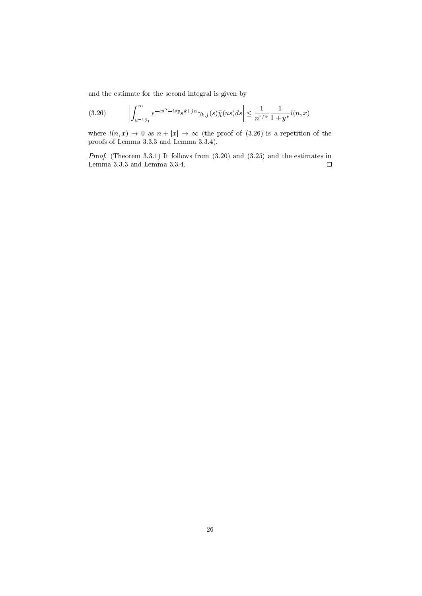and the estimate for the second integral is given by

$$
(3.26)\qquad \left|\int_{u^{-1}\delta_1}^{\infty} e^{-cs^{\alpha}-isy} s^{k+j\alpha} \gamma_{k,j}(s) \tilde{\chi}(us) ds \right| \le \frac{1}{n^{r/\alpha}} \frac{1}{1+y^{\nu}} l(n,x)
$$

where  $l(n, x) \rightarrow 0$  as  $n + |x| \rightarrow \infty$  (the proof of (3.26) is a repetition of the proofs of Lemma 3.3.3 and Lemma 3.3.4).

Proof. (Theorem 3.3.1) It follows from  $(3.20)$  and  $(3.25)$  and the estimates in Lemma 3.3.3 and Lemma 3.3.4.  $\Box$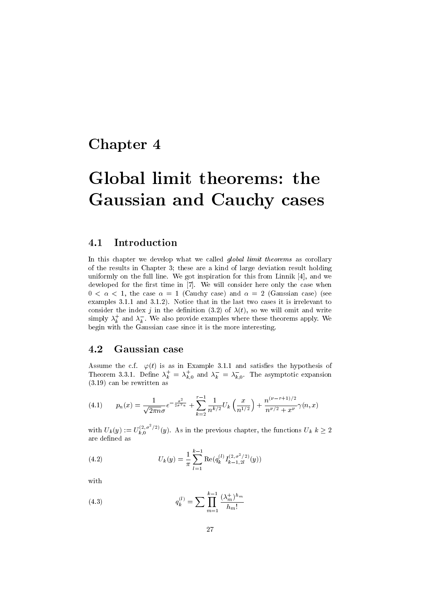### Chapter 4

# Global limit theorems: the Gaussian and Cauchy cases

#### 4.1 Introduction

In this chapter we develop what we called *global limit theorems* as corollary of the results in Chapter 3; these are a kind of large deviation result holding uniformly on the full line. We got inspiration for this from Linnik [4], and we developed for the first time in [7]. We will consider here only the case when  $0 < \alpha < 1$ , the case  $\alpha = 1$  (Cauchy case) and  $\alpha = 2$  (Gaussian case) (see examples 3.1.1 and 3.1.2). Notice that in the last two cases it is irrelevant to consider the index j in the definition (3.2) of  $\lambda(t)$ , so we will omit and write simply  $\lambda_k^+$  and  $\lambda_k^-$ . We also provide examples where these theorems apply. We begin with the Gaussian case since it is the more interesting.

#### 4.2 Gaussian case

Assume the c.f.  $\varphi(t)$  is as in Example 3.1.1 and satisfies the hypothesis of Theorem 3.3.1. Define  $\lambda_k^+ = \lambda_{k,0}^+$  and  $\lambda_k^- = \lambda_{k,0}^-$ . The asymptotic expansion (3.19) can be rewritten as

(4.1) 
$$
p_n(x) = \frac{1}{\sqrt{2\pi n}\sigma}e^{-\frac{x^2}{2\sigma^2 n}} + \sum_{k=2}^{r-1} \frac{1}{n^{k/2}} U_k\left(\frac{x}{n^{1/2}}\right) + \frac{n^{(\nu-r+1)/2}}{n^{\nu/2} + x^{\nu}}\gamma(n,x)
$$

with  $U_k(y) := U_{k,0}^{(2,\sigma^2/2)}$  $\sum_{k,0}^{(2,\sigma)/2}(y)$ . As in the previous chapter, the functions  $U_k$   $k \geq 2$ are defined as

(4.2) 
$$
U_k(y) = \frac{1}{\pi} \sum_{l=1}^{k-1} \text{Re}(q_k^{(l)} I_{k-1,2l}^{(2,\sigma^2/2)}(y))
$$

with

(4.3) 
$$
q_k^{(l)} = \sum \prod_{m=1}^{k-1} \frac{(\lambda_m^+)^{h_m}}{h_m!}
$$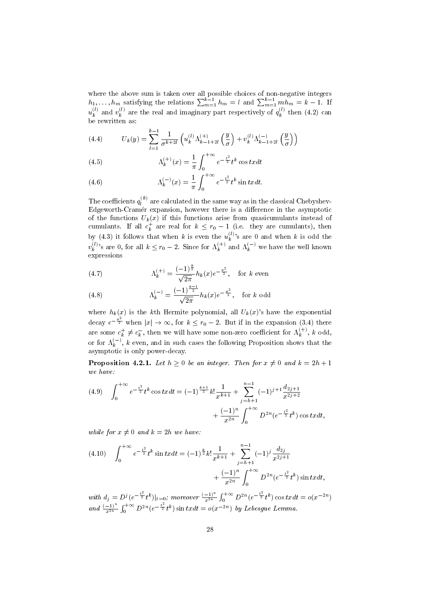where the above sum is taken over all possible choices of non-negative integers  $h_1, \ldots, h_m$  satisfying the relations  $\sum_{m=1}^{k-1} h_m = l$  and  $\sum_{m=1}^{k-1} m \overline{h_m} = k-1$ . If  $u_k^{(l)}$  $\mathbf{r}_k^{(l)}$  and  $v_k^{(l)}$  $\mathbf{g}_k^{(l)}$  are the real and imaginary part respectively of  $q_k^{(l)}$  $\binom{k}{k}$  then  $(4.2)$  can be rewritten as:

(4.4) 
$$
U_k(y) = \sum_{l=1}^{k-1} \frac{1}{\sigma^{k+2l}} \left( u_k^{(l)} \Lambda_{k-1+2l}^{(+)} \left( \frac{y}{\sigma} \right) + v_k^{(l)} \Lambda_{k-1+2l}^{(-)} \left( \frac{y}{\sigma} \right) \right)
$$

(4.5) 
$$
\Lambda_k^{(+)}(x) = \frac{1}{\pi} \int_0^{+\infty} e^{-\frac{t^2}{2}} t^k \cos t x dt
$$

(4.6) 
$$
\Lambda_k^{(-)}(x) = \frac{1}{\pi} \int_0^{+\infty} e^{-\frac{t^2}{2}} t^k \sin tx dt.
$$

The coefficients  $q_l^{(k)}$  $l_l^{(k)}$  are calculated in the same way as in the classical Chebyshev-Edgeworth-Cramer expansion, however there is a difference in the asymptotic of the functions  $U_k(x)$  if this functions arise from quasicumulants instead of cumulants. If all  $c_k^+$  are real for  $k \leq r_0 - 1$  (i.e. they are cumulants), then by (4.3) it follows that when k is even the  $u_k^{(l)}$  $\binom{v}{k}$ 's are 0 and when k is odd the  $v^{(l)}_k$  $\lambda_k^{(l)}$ 's are 0, for all  $k \leq r_0 - 2$ . Since for  $\Lambda_k^{(+)}$  and  $\Lambda_k^{(-)}$  we have the well known expressions

(4.7) 
$$
\Lambda_k^{(+)} = \frac{(-1)^{\frac{k}{2}}}{\sqrt{2\pi}} h_k(x) e^{-\frac{x^2}{2}}, \text{ for } k \text{ even}
$$

(4.8) 
$$
\Lambda_k^{(-)} = \frac{(-1)^{\frac{k-1}{2}}}{\sqrt{2\pi}} h_k(x) e^{-\frac{x^2}{2}}, \text{ for } k \text{ odd}
$$

where  $h_k(x)$  is the kth Hermite polynomial, all  $U_k(x)$ 's have the exponential decay  $e^{-\frac{x^2}{2}}$  when  $|x| \to \infty$ , for  $k \leq r_0 - 2$ . But if in the expansion (3.4) there are some  $c_k^+ \neq c_k^-$ , then we will have some non-zero coefficient for  $\Lambda_k^{(+)}$ , k odd, or for  $\Lambda_k^{(-)}$ , k even, and in such cases the following Proposition shows that the asymptotic is only power-decay.

**Proposition 4.2.1.** Let  $h \geq 0$  be an integer. Then for  $x \neq 0$  and  $k = 2h + 1$ we have:

$$
(4.9) \quad \int_0^{+\infty} e^{-\frac{t^2}{2}} t^k \cos tx dt = (-1)^{\frac{k+1}{2}} k! \frac{1}{x^{k+1}} + \sum_{j=h+1}^{n-1} (-1)^{j+1} \frac{d_{2j+1}}{x^{2j+2}} + \frac{(-1)^n}{x^{2n}} \int_0^{+\infty} D^{2n} (e^{-\frac{t^2}{2}} t^k) \cos tx dt,
$$

while for  $x \neq 0$  and  $k = 2h$  we have:

$$
(4.10) \quad \int_0^{+\infty} e^{-\frac{t^2}{2}} t^k \sin tx dt = (-1)^{\frac{k}{2}} k! \frac{1}{x^{k+1}} + \sum_{j=h+1}^{n-1} (-1)^j \frac{d_{2j}}{x^{2j+1}} + \frac{(-1)^n}{x^{2n}} \int_0^{+\infty} D^{2n} (e^{-\frac{t^2}{2}} t^k) \sin tx dt,
$$

with  $d_j = D^j (e^{-\frac{t^2}{2}} t^k)|_{t=0}$ ; moreover  $\frac{(-1)^n}{x^{2n}}$  $\frac{(-1)^n}{x^{2n}} \int_0^{+\infty} D^{2n} (e^{-\frac{t^2}{2}} t^k) \cos tx dt = o(x^{-2n})$ and  $\frac{(-1)^n}{x^{2n}} \int_0^{+\infty} D^{2n} (e^{-\frac{t^2}{2}} t^k) \sin tx dt = o(x^{-2n})$  by Lebesgue Lemma.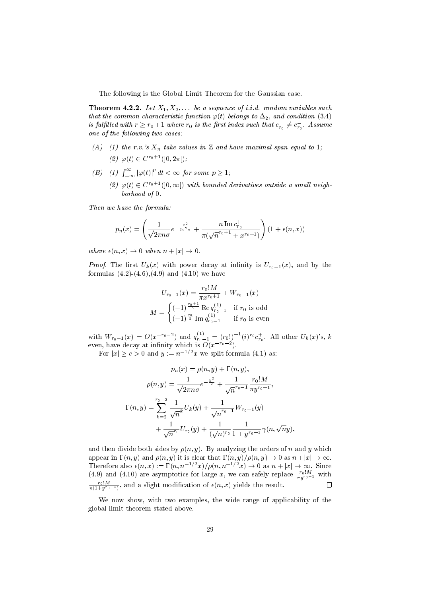The following is the Global Limit Theorem for the Gaussian case.

**Theorem 4.2.2.** Let  $X_1, X_2, \ldots$  be a sequence of i.i.d. random variables such that the common characteristic function  $\varphi(t)$  belongs to  $\Delta_2$ , and condition (3.4) is fulfilled with  $r \ge r_0 + 1$  where  $r_0$  is the first index such that  $c_{r_0}^+ \neq c_{r_0}^-$ . Assume one of the following two cases:

- (A) (1) the r.v.'s  $X_n$  take values in  $\mathbb Z$  and have maximal span equal to 1; (2)  $\varphi(t) \in C^{r_0+1}(]0, 2\pi[)$ ;
- (B) (1)  $\int_{-\infty}^{\infty} |\varphi(t)|^p dt < \infty$  for some  $p \ge 1$ ;
	- (2)  $\varphi(t) \in C^{r_0+1}(]0, \infty[)$  with bounded derivatives outside a small neighborhood of 0.

Then we have the formula:

$$
p_n(x) = \left(\frac{1}{\sqrt{2\pi n}\sigma}e^{-\frac{x^2}{2\sigma^2 n}} + \frac{n\operatorname{Im} c_{r_0}^+}{\pi(\sqrt{n}^{r_0+1} + x^{r_0+1})}\right) (1 + \epsilon(n, x))
$$

where  $\epsilon(n, x) \rightarrow 0$  when  $n + |x| \rightarrow 0$ .

*Proof.* The first  $U_k(x)$  with power decay at infinity is  $U_{r_0-1}(x)$ , and by the formulas  $(4.2)-(4.6),(4.9)$  and  $(4.10)$  we have

$$
U_{r_0-1}(x) = \frac{r_0! M}{\pi x^{r_0+1}} + W_{r_0-1}(x)
$$

$$
M = \begin{cases} (-1)^{\frac{r_0+1}{2}} \text{Re } q_{r_0-1}^{(1)} & \text{if } r_0 \text{ is odd} \\ (-1)^{\frac{r_0}{2}} \text{Im } q_{r_0-1}^{(1)} & \text{if } r_0 \text{ is even} \end{cases}
$$

with  $W_{r_0-1}(x) = O(x^{-r_0-2})$  and  $q_{r_0-1}^{(1)} = (r_0!)^{-1} (i)^{r_0} c_{r_0}^+$ . All other  $U_k(x)$ 's, k even, have decay at infinity which is  $O(x^{-r_0-2})$ .

For  $|x| \ge c > 0$  and  $y := n^{-1/2}x$  we split formula (4.1) as:

$$
p_n(x) = \rho(n, y) + \Gamma(n, y),
$$

$$
\rho(n, y) = \frac{1}{\sqrt{2\pi n}\sigma} e^{-\frac{y^2}{2}} + \frac{1}{\sqrt{n}^{r_0 - 1}} \frac{r_0! M}{\pi y^{r_0 + 1}},
$$

$$
\Gamma(n, y) = \sum_{k=2}^{r_0 - 2} \frac{1}{\sqrt{n}^k} U_k(y) + \frac{1}{\sqrt{n}^{r_0 - 1}} W_{r_0 - 1}(y) + \frac{1}{\sqrt{n}^{r_0}} U_{r_0}(y) + \frac{1}{(\sqrt{n})^{r_0}} \frac{1}{1 + y^{r_0 + 1}} \gamma(n, \sqrt{n}y),
$$

and then divide both sides by  $\rho(n, y)$ . By analyzing the orders of n and y which appear in  $\Gamma(n, y)$  and  $\rho(n, y)$  it is clear that  $\Gamma(n, y)/\rho(n, y) \to 0$  as  $n+|x| \to \infty$ . Therefore also  $\epsilon(n, x) := \Gamma(n, n^{-1/2}x)/\rho(n, n^{-1/2}x) \to 0$  as  $n + |x| \to \infty$ . Since (4.9) and (4.10) are asymptotics for large x, we can safely replace  $\frac{r_0!M}{\pi y^{r_0+1}}$  with  $\frac{r_0!M}{\pi(1+y^{r_0+1})}$ , and a slight modification of  $\epsilon(n,x)$  yields the result.  $\Box$ 

We now show, with two examples, the wide range of applicability of the global limit theorem stated above.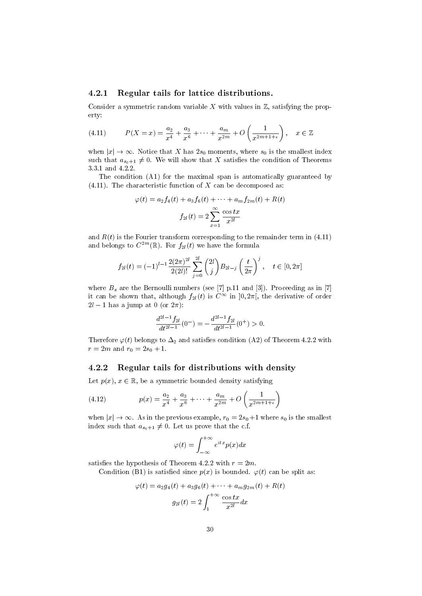#### 4.2.1 Regular tails for lattice distributions.

Consider a symmetric random variable X with values in  $\mathbb{Z}$ , satisfying the property:

(4.11) 
$$
P(X = x) = \frac{a_2}{x^4} + \frac{a_3}{x^6} + \dots + \frac{a_m}{x^{2m}} + O\left(\frac{1}{x^{2m+1+\epsilon}}\right), \quad x \in \mathbb{Z}
$$

when  $|x| \to \infty$ . Notice that X has  $2s_0$  moments, where  $s_0$  is the smallest index such that  $a_{s_0+1} \neq 0$ . We will show that X satisfies the condition of Theorems 3.3.1 and 4.2.2.

The condition (A1) for the maximal span is automatically guaranteed by  $(4.11)$ . The characteristic function of X can be decomposed as:

$$
\varphi(t) = a_2 f_4(t) + a_3 f_6(t) + \dots + a_m f_{2m}(t) + R(t)
$$

$$
f_{2l}(t) = 2 \sum_{x=1}^{\infty} \frac{\cos tx}{x^{2l}}
$$

and  $R(t)$  is the Fourier transform corresponding to the remainder term in (4.11) and belongs to  $C^{2m}(\mathbb{R})$ . For  $f_{2l}(t)$  we have the formula

$$
f_{2l}(t) = (-1)^{l-1} \frac{2(2\pi)^{2l}}{2(2l)!} \sum_{j=0}^{2l} {2l \choose j} B_{2l-j} \left(\frac{t}{2\pi}\right)^j, \quad t \in [0, 2\pi]
$$

where  $B_s$  are the Bernoulli numbers (see [7] p.11 and [3]). Proceeding as in [7] it can be shown that, although  $f_{2l}(t)$  is  $C^{\infty}$  in  $]0, 2\pi[$ , the derivative of order  $2l - 1$  has a jump at 0 (or  $2\pi$ ):

$$
\frac{d^{2l-1}f_{2l}}{dt^{2l-1}}(0^-) = -\frac{d^{2l-1}f_{2l}}{dt^{2l-1}}(0^+) > 0.
$$

Therefore  $\varphi(t)$  belongs to  $\Delta_2$  and satisfies condition (A2) of Theorem 4.2.2 with  $r = 2m$  and  $r_0 = 2s_0 + 1$ .

#### 4.2.2 Regular tails for distributions with density

Let  $p(x)$ ,  $x \in \mathbb{R}$ , be a symmetric bounded density satisfying

(4.12) 
$$
p(x) = \frac{a_2}{x^4} + \frac{a_3}{x^6} + \dots + \frac{a_m}{x^{2m}} + O\left(\frac{1}{x^{2m+1+\epsilon}}\right)
$$

when  $|x| \to \infty$ . As in the previous example,  $r_0 = 2s_0+1$  where  $s_0$  is the smallest index such that  $a_{s_0+1} \neq 0$ . Let us prove that the c.f.

$$
\varphi(t) = \int_{-\infty}^{+\infty} e^{itx} p(x) dx
$$

satisfies the hypothesis of Theorem 4.2.2 with  $r = 2m$ .

Condition (B1) is satisfied since  $p(x)$  is bounded.  $\varphi(t)$  can be split as:

$$
\varphi(t) = a_2 g_4(t) + a_3 g_6(t) + \dots + a_m g_{2m}(t) + R(t)
$$

$$
g_{2l}(t) = 2 \int_1^{+\infty} \frac{\cos tx}{x^{2l}} dx
$$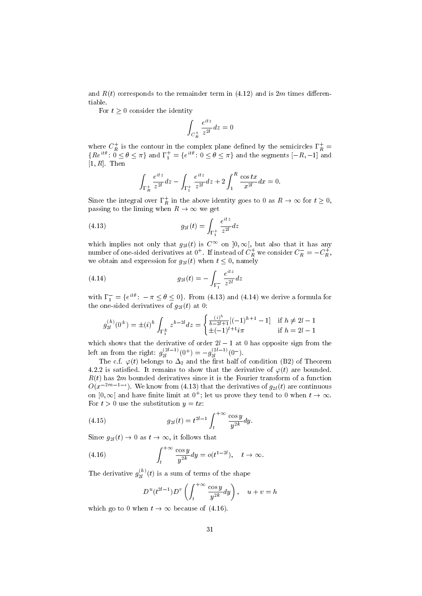and  $R(t)$  corresponds to the remainder term in (4.12) and is 2m times differentiable.

For  $t > 0$  consider the identity

$$
\int_{C_R^+} \frac{e^{itz}}{z^{2l}} dz = 0
$$

where  $C_R^+$  is the contour in the complex plane defined by the semicircles  $\Gamma_R^+$  =  ${Re^{it\theta}}: \tilde{0} \le \theta \le \pi$  and  $\Gamma_1^+ = {e^{it\theta}}: 0 \le \theta \le \pi$  and the segments  $[-R, -1]$  and  $[1, R]$ . Then

$$
\int_{\Gamma_R^+} \frac{e^{itz}}{z^{2l}} dz - \int_{\Gamma_1^+} \frac{e^{itz}}{z^{2l}} dz + 2 \int_1^R \frac{\cos tx}{x^{2l}} dx = 0.
$$

Since the integral over  $\Gamma_R^+$  in the above identity goes to 0 as  $R \to \infty$  for  $t \ge 0$ , passing to the liming when  $R \to \infty$  we get

(4.13) 
$$
g_{2l}(t) = \int_{\Gamma_1^+} \frac{e^{itz}}{z^{2l}} dz
$$

which implies not only that  $g_{2l}(t)$  is  $C^{\infty}$  on  $]0,\infty[$ , but also that it has any number of one-sided derivatives at  $0^+$ . If instead of  $C_R^+$  we consider  $C_R^- = -C_R^+$ , we obtain and expression for  $g_{2l}(t)$  when  $t \leq 0$ , namely

(4.14) 
$$
g_{2l}(t) = -\int_{\Gamma_1^-} \frac{e^{itz}}{z^{2l}} dz
$$

with  $\Gamma_1^- = \{e^{it\theta}: -\pi \le \theta \le 0\}$ . From (4.13) and (4.14) we derive a formula for the one-sided derivatives of  $g_{2l}(t)$  at 0:

$$
g_{2l}^{(h)}(0^{\pm}) = \pm (i)^h \int_{\Gamma_1^{\pm}} z^{h-2l} dz = \begin{cases} \frac{(i)^h}{h-2l+1} [(-1)^{h+1} - 1] & \text{if } h \neq 2l - 1\\ \pm (-1)^{l+1} i\pi & \text{if } h = 2l - 1 \end{cases}
$$

which shows that the derivative of order  $2l - 1$  at 0 has opposite sign from the left an from the right:  $g_{2l}^{(2l-1)}$  $g_2^{(2l-1)}(0^+) = -g_{2l}^{(2l-1)}$  $\frac{(2l-1)}{2l}(0^{-}).$ 

The c.f.  $\varphi(t)$  belongs to  $\Delta_2$  and the first half of condition (B2) of Theorem 4.2.2 is satisfied. It remains to show that the derivative of  $\varphi(t)$  are bounded.  $R(t)$  has 2m bounded derivatives since it is the Fourier transform of a function  $O(x^{-2m-1-\epsilon})$ . We know from (4.13) that the derivatives of  $g_{2l}(t)$  are continuous on  $[0, \infty]$  and have finite limit at  $0^+$ ; let us prove they tend to 0 when  $t \to \infty$ . For  $t > 0$  use the substitution  $y = tx$ :

(4.15) 
$$
g_{2l}(t) = t^{2l-1} \int_{t}^{+\infty} \frac{\cos y}{y^{2k}} dy.
$$

Since  $g_{2l}(t) \rightarrow 0$  as  $t \rightarrow \infty$ , it follows that

(4.16) 
$$
\int_{t}^{+\infty} \frac{\cos y}{y^{2k}} dy = o(t^{1-2l}), \quad t \to \infty.
$$

The derivative  $g_{2l}^{(h)}$  $\binom{n}{2l}(t)$  is a sum of terms of the shape

$$
D^{u}(t^{2l-1})D^{v}\left(\int_{t}^{+\infty}\frac{\cos y}{y^{2k}}dy\right), \quad u+v=h
$$

which go to 0 when  $t \to \infty$  because of (4.16).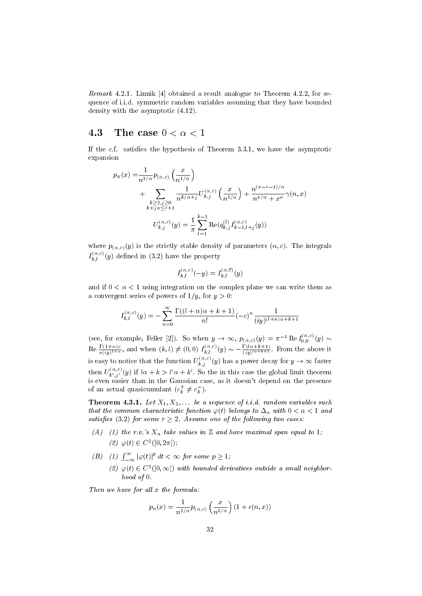Remark 4.2.1. Linnik [4] obtained a result analogue to Theorem 4.2.2, for sequence of i.i.d. symmetric random variables assuming that they have bounded density with the asymptotic (4.12).

#### 4.3 The case  $0 < \alpha < 1$

If the c.f. satisfies the hypothesis of Theorem  $3.3.1$ , we have the asymptotic expansion

$$
p_n(x) = \frac{1}{n^{1/\alpha}} p_{(\alpha,c)} \left(\frac{x}{n^{1/\alpha}}\right)
$$
  
+ 
$$
\sum_{\substack{k \ge 2, j \ge 0 \\ k+j \alpha \le r+1}} \frac{1}{n^{k/\alpha+j}} U_{k,j}^{(\alpha,c)} \left(\frac{x}{n^{1/\alpha}}\right) + \frac{n^{(\nu-r-1)/\alpha}}{n^{\nu/\alpha} + x^{\nu}} \gamma(n,x)
$$
  

$$
U_{k,j}^{(\alpha,c)}(y) = \frac{1}{\pi} \sum_{l=1}^{k-1} \text{Re}(q_{k,j}^{(l)} I_{k-l,l+j}^{(\alpha,c)}(y))
$$

where  $p_{(\alpha,c)}(y)$  is the strictly stable density of parameters  $(\alpha, c)$ . The integrals  $I_{k,l}^{(\alpha,c)}(y)$  defined in (3.2) have the property

$$
I_{k,l}^{(\alpha,c)}(-y)=I_{k,l}^{(\alpha,\overline{c})}(y)
$$

and if  $0 < \alpha < 1$  using integration on the complex plane we can write them as a convergent series of powers of  $1/y$ , for  $y > 0$ :

$$
I_{k,l}^{(\alpha,c)}(y) = -\sum_{n=0}^{\infty} \frac{\Gamma((l+n)\alpha + k + 1)}{n!} (-c)^n \frac{1}{(iy)^{(l+n)\alpha + k + 1}}
$$

(see, for example, Feller [2]). So when  $y \to \infty$ ,  $p_{(\alpha,c)}(y) = \pi^{-1} \text{Re } I_{0,0}^{(\alpha,c)}(y) \sim$  $\text{Re }\frac{\Gamma(1+\alpha)c}{\pi(iy)^{1+\alpha}}, \text{ and when } (k,l) \neq (0,0)$   $I_{k,l}^{(\alpha,c)}(y) \sim -\frac{\Gamma(l\alpha+k+1)}{(iy)^{l\alpha+k+1}}$  $\frac{\Gamma(l\alpha+k+1)}{(iy)^{l\alpha+k+1}}$ . From the above it is easy to notice that the function  $U_{k,j}^{(\alpha,c)}(y)$  has a power decay for  $y \to \infty$  faster then  $U_{k',j'}^{(\alpha,c)}(y)$  if  $l\alpha + k > l'\alpha + k'$ . So the in this case the global limit theorem is even easier than in the Gaussian case, as it doesn't depend on the presence of an actual quasicumulant  $(c_k^+ \neq c_k^-)$ .

**Theorem 4.3.1.** Let  $X_1, X_2, \ldots$  be a sequence of i.i.d. random variables such that the common characteristic function  $\varphi(t)$  belongs to  $\Delta_\alpha$  with  $0 < \alpha < 1$  and satisfies (3.2) for some  $r \geq 2$ . Assume one of the following two cases.

- (A) (1) the r.v.'s  $X_n$  take values in  $\mathbb Z$  and have maximal span equal to 1; (2)  $\varphi(t) \in C^2(]0, 2\pi[$ ;
- (B) (1)  $\int_{-\infty}^{\infty} |\varphi(t)|^p dt < \infty$  for some  $p \ge 1$ ; (2)  $\varphi(t) \in C^2(]0, \infty[$ ) with bounded derivatives outside a small neighborhood of 0.

Then we have for all x the formula:

$$
p_n(x) = \frac{1}{n^{1/\alpha}} p_{(\alpha,c)} \left(\frac{x}{n^{1/\alpha}}\right) (1 + \epsilon(n,x))
$$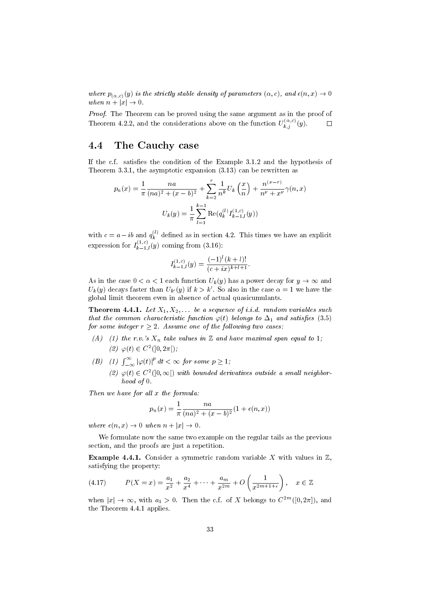where  $p_{(\alpha,c)}(y)$  is the strictly stable density of parameters  $(\alpha, c)$ , and  $\epsilon(n, x) \to 0$ when  $n + |x| \rightarrow 0$ .

Proof. The Theorem can be proved using the same argument as in the proof of Theorem 4.2.2, and the considerations above on the function  $U_{k,j}^{(\alpha,c)}(y)$ .  $\Box$ 

#### 4.4 The Cauchy case

If the c.f. satisfies the condition of the Example  $3.1.2$  and the hypothesis of Theorem 3.3.1, the asymptotic expansion (3.13) can be rewritten as

$$
p_n(x) = \frac{1}{\pi} \frac{na}{(na)^2 + (x - b)^2} + \sum_{k=2}^r \frac{1}{n^k} U_k\left(\frac{x}{n}\right) + \frac{n^{(\nu - r)}}{n^{\nu} + x^{\nu}} \gamma(n, x)
$$

$$
U_k(y) = \frac{1}{\pi} \sum_{l=1}^{k-1} \text{Re}(q_k^{(l)} I_{k-1,l}^{(1,c)}(y))
$$

with  $c = a - ib$  and  $q_k^{(l)}$  $\kappa_k^{(t)}$  defined as in section 4.2. This times we have an explicit expression for  $I_{k-1,l}^{(1,c)}(y)$  coming from (3.16):

$$
I_{k-1,l}^{(1,c)}(y) = \frac{(-1)^l (k+l)!}{(c+ix)^{k+l+1}}.
$$

As in the case  $0 < \alpha < 1$  each function  $U_k(y)$  has a power decay for  $y \to \infty$  and  $U_k(y)$  decays faster than  $U_{k'}(y)$  if  $k > k'$ . So also in the case  $\alpha = 1$  we have the global limit theorem even in absence of actual quasicumulants.

**Theorem 4.4.1.** Let  $X_1, X_2, \ldots$  be a sequence of i.i.d. random variables such that the common characteristic function  $\varphi(t)$  belongs to  $\Delta_1$  and satisfies (3.5) for some integer  $r \geq 2$ . Assume one of the following two cases:

- (A) (1) the r.v.'s  $X_n$  take values in  $\mathbb Z$  and have maximal span equal to 1; (2)  $\varphi(t) \in C^2(]0, 2\pi[$ ;
- (B) (1)  $\int_{-\infty}^{\infty} |\varphi(t)|^p dt < \infty$  for some  $p \ge 1$ ;
	- (2)  $\varphi(t) \in C^2(]0, \infty[$ ) with bounded derivatives outside a small neighborhood of 0.

Then we have for all x the formula:

$$
p_n(x) = \frac{1}{\pi} \frac{na}{(na)^2 + (x - b)^2} (1 + \epsilon(n, x))
$$

where  $\epsilon(n, x) \rightarrow 0$  when  $n + |x| \rightarrow 0$ .

We formulate now the same two example on the regular tails as the previous section, and the proofs are just a repetition.

**Example 4.4.1.** Consider a symmetric random variable X with values in  $\mathbb{Z}$ , satisfying the property:

(4.17) 
$$
P(X = x) = \frac{a_1}{x^2} + \frac{a_2}{x^4} + \dots + \frac{a_m}{x^{2m}} + O\left(\frac{1}{x^{2m+1+\epsilon}}\right), \quad x \in \mathbb{Z}
$$

when  $|x| \to \infty$ , with  $a_1 > 0$ . Then the c.f. of X belongs to  $C^{2m}([0, 2\pi])$ , and the Theorem 4.4.1 applies.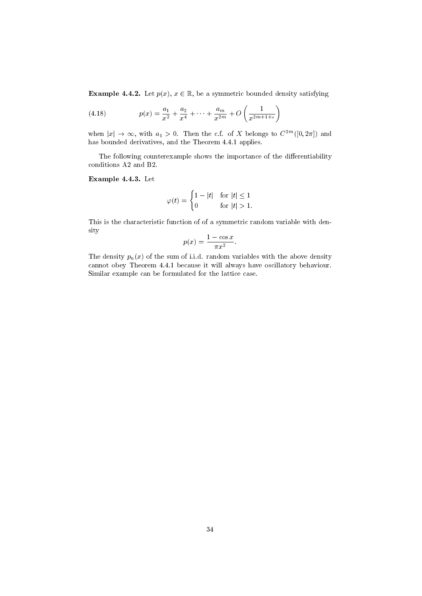**Example 4.4.2.** Let  $p(x)$ ,  $x \in \mathbb{R}$ , be a symmetric bounded density satisfying

(4.18) 
$$
p(x) = \frac{a_1}{x^2} + \frac{a_2}{x^4} + \dots + \frac{a_m}{x^{2m}} + O\left(\frac{1}{x^{2m+1+\epsilon}}\right)
$$

when  $|x| \to \infty$ , with  $a_1 > 0$ . Then the c.f. of X belongs to  $C^{2m}([0, 2\pi])$  and has bounded derivatives, and the Theorem 4.4.1 applies.

The following counterexample shows the importance of the differentiability conditions A2 and B2.

Example 4.4.3. Let

$$
\varphi(t) = \begin{cases} 1 - |t| & \text{for } |t| \le 1 \\ 0 & \text{for } |t| > 1. \end{cases}
$$

This is the characteristic function of of a symmetric random variable with density

$$
p(x) = \frac{1 - \cos x}{\pi x^2}.
$$

The density  $p_n(x)$  of the sum of i.i.d. random variables with the above density cannot obey Theorem 4.4.1 because it will always have oscillatory behaviour. Similar example can be formulated for the lattice case.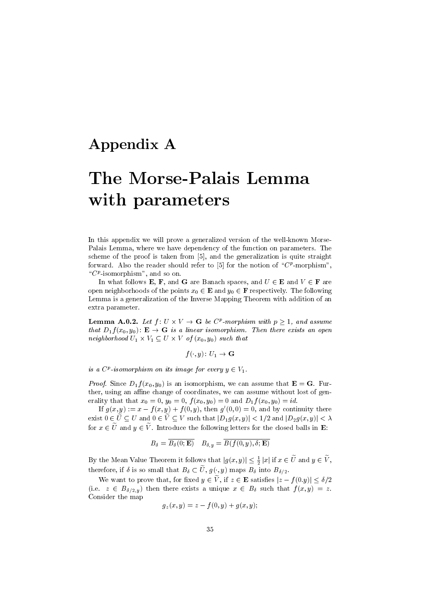### Appendix A

# The Morse-Palais Lemma with parameters

In this appendix we will prove a generalized version of the well-known Morse-Palais Lemma, where we have dependency of the function on parameters. The scheme of the proof is taken from [5], and the generalization is quite straight forward. Also the reader should refer to [5] for the notion of " $C^p$ -morphism", " $C^{p}$ -isomorphism", and so on.

In what follows E, F, and G are Banach spaces, and  $U \in E$  and  $V \in F$  are open neighborhoods of the points  $x_0 \in \mathbf{E}$  and  $y_0 \in \mathbf{F}$  respectively. The following Lemma is a generalization of the Inverse Mapping Theorem with addition of an extra parameter.

**Lemma A.0.2.** Let  $f: U \times V \to \mathbf{G}$  be  $C^p$ -morphism with  $p \geq 1$ , and assume that  $D_1 f(x_0, y_0)$ :  $\mathbf{E} \to \mathbf{G}$  is a linear isomorphism. Then there exists an open neighborhood  $U_1 \times V_1 \subseteq U \times V$  of  $(x_0, y_0)$  such that

 $f(\cdot, y): U_1 \to \mathbf{G}$ 

is a  $C^p$ -isomorphism on its image for every  $y \in V_1$ .

*Proof.* Since  $D_1 f(x_0, y_0)$  is an isomorphism, we can assume that  $\mathbf{E} = \mathbf{G}$ . Further, using an affine change of coordinates, we can assume without lost of generality that that  $x_0 = 0$ ,  $y_0 = 0$ ,  $f(x_0, y_0) = 0$  and  $D_1 f(x_0, y_0) = id$ .

If  $g(x, y) := x - f(x, y) + f(0, y)$ , then  $g'(0, 0) = 0$ , and by continuity there exist  $0 \in \tilde{U} \subseteq U$  and  $0 \in \tilde{V} \subseteq V$  such that  $|D_1g(x, y)| < 1/2$  and  $|D_2g(x, y)| < \lambda$ for  $x \in \tilde{U}$  and  $y \in \tilde{V}$ . Introduce the following letters for the closed balls in **E**:

$$
B_{\delta} = \overline{B_{\delta}(0; \mathbf{E})} \quad B_{\delta, y} = \overline{B(f(0, y), \delta; \mathbf{E})}
$$

By the Mean Value Theorem it follows that  $|g(x, y)| \leq \frac{1}{2} |x|$  if  $x \in \tilde{U}$  and  $y \in \tilde{V}$ , therefore, if  $\delta$  is so small that  $B_{\delta} \subset \tilde{U}$ ,  $g(\cdot, y)$  maps  $B_{\delta}$  into  $B_{\delta/2}$ .

We want to prove that, for fixed  $y \in \tilde{V}$ , if  $z \in \mathbf{E}$  satisfies  $|z - f(0,y)| \leq \delta/2$ (i.e.  $z \in B_{\delta/2,y}$ ) then there exists a unique  $x \in B_{\delta}$  such that  $f(x, y) = z$ . Consider the map

$$
g_z(x, y) = z - f(0, y) + g(x, y);
$$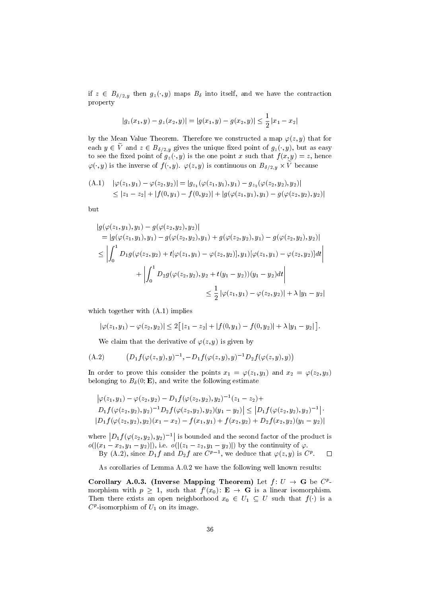if  $z \in B_{\delta/2,y}$  then  $g_z(\cdot, y)$  maps  $B_{\delta}$  into itself, and we have the contraction property

$$
|g_z(x_1, y) - g_z(x_2, y)| = |g(x_1, y) - g(x_2, y)| \le \frac{1}{2} |x_1 - x_2|
$$

by the Mean Value Theorem. Therefore we constructed a map  $\varphi(z, y)$  that for each  $y \in \tilde{V}$  and  $z \in B_{\delta/2,y}$  gives the unique fixed point of  $g_z(\cdot, y)$ , but as easy to see the fixed point of  $g_z(\cdot, y)$  is the one point x such that  $f(x, y) = z$ , hence  $\varphi(\cdot,y)$  is the inverse of  $f(\cdot,y)$ .  $\varphi(z,y)$  is continuous on  $B_{\delta/2,y} \times V$  because

(A.1) 
$$
|\varphi(z_1, y_1) - \varphi(z_2, y_2)| = |g_{z_1}(\varphi(z_1, y_1), y_1) - g_{z_2}(\varphi(z_2, y_2), y_2)|
$$
  
 
$$
\leq |z_1 - z_2| + |f(0, y_1) - f(0, y_2)| + |g(\varphi(z_1, y_1), y_1) - g(\varphi(z_2, y_2), y_2)|
$$

but

$$
|g(\varphi(z_1, y_1), y_1) - g(\varphi(z_2, y_2), y_2)|
$$
  
\n
$$
= |g(\varphi(z_1, y_1), y_1) - g(\varphi(z_2, y_2), y_1) + g(\varphi(z_2, y_2), y_1) - g(\varphi(z_2, y_2), y_2)|
$$
  
\n
$$
\leq \left| \int_0^1 D_1 g(\varphi(z_2, y_2) + t[\varphi(z_1, y_1) - \varphi(z_2, y_2)], y_1)[\varphi(z_1, y_1) - \varphi(z_2, y_2)]dt \right|
$$
  
\n
$$
+ \left| \int_0^1 D_2 g(\varphi(z_2, y_2), y_2 + t(y_1 - y_2))(y_1 - y_2)dt \right|
$$
  
\n
$$
\leq \frac{1}{2} |\varphi(z_1, y_1) - \varphi(z_2, y_2)| + \lambda |y_1 - y_2|
$$

which together with  $(A.1)$  implies

$$
|\varphi(z_1,y_1)-\varphi(z_2,y_2)|\leq 2\big[|z_1-z_2|+|f(0,y_1)-f(0,y_2)|+\lambda|y_1-y_2|\big].
$$

We claim that the derivative of  $\varphi(z, y)$  is given by

(A.2) 
$$
(D_1 f(\varphi(z,y), y)^{-1}, -D_1 f(\varphi(z,y), y)^{-1} D_2 f(\varphi(z,y), y))
$$

In order to prove this consider the points  $x_1 = \varphi(z_1, y_1)$  and  $x_2 = \varphi(z_2, y_3)$ belonging to  $B_{\delta}(0; \mathbf{E})$ , and write the following estimate

$$
\left|\varphi(z_1, y_1) - \varphi(z_2, y_2) - D_1 f(\varphi(z_2, y_2), y_2)^{-1}(z_1 - z_2) + D_1 f(\varphi(z_2, y_2), y_2)^{-1} D_2 f(\varphi(z_2, y_2), y_2)(y_1 - y_2)\right| \le \left|D_1 f(\varphi(z_2, y_2), y_2)^{-1}\right| \cdot
$$
  
\n
$$
\left|D_1 f(\varphi(z_2, y_2), y_2)(x_1 - x_2) - f(x_1, y_1) + f(x_2, y_2) + D_2 f(x_2, y_2)(y_1 - y_2)\right|
$$

where  $\left|D_1 f(\varphi(z_2, y_2), y_2)^{-1}\right|$  is bounded and the second factor of the product is  $o(|(x_1 - x_2, y_1 - y_2)|),$  i.e.  $o(|(z_1 - z_2, y_1 - y_2)|)$  by the continuity of  $\varphi$ .  $\Box$ 

By (A.2), since  $D_1 f$  and  $D_2 f$  are  $C^{p-1}$ , we deduce that  $\varphi(z, y)$  is  $C^p$ .

As corollaries of Lemma A.0.2 we have the following well known results:

Corollary A.0.3. (Inverse Mapping Theorem) Let  $f: U \to G$  be  $C^p$ morphism with  $p \geq 1$ , such that  $f'(x_0): \mathbf{E} \to \mathbf{G}$  is a linear isomorphism. Then there exists an open neighborhood  $x_0 \in U_1 \subseteq U$  such that  $f(\cdot)$  is a  $C^p$ -isomorphism of  $U_1$  on its image.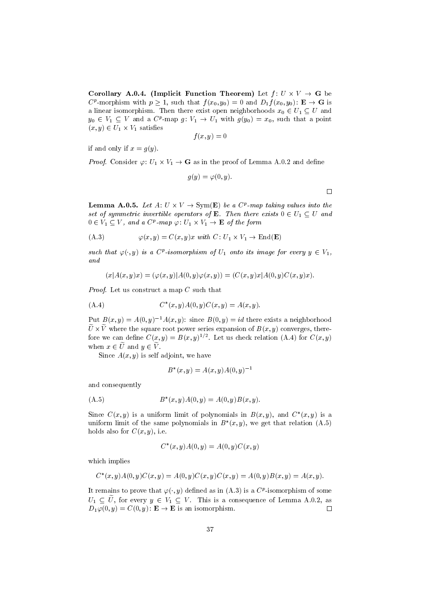Corollary A.0.4. (Implicit Function Theorem) Let  $f: U \times V \to G$  be  $C^p$ -morphism with  $p \geq 1$ , such that  $f(x_0, y_0) = 0$  and  $D_1 f(x_0, y_0)$ :  $\mathbf{E} \to \mathbf{G}$  is a linear isomorphism. Then there exist open neighborhoods  $x_0 \in U_1 \subseteq U$  and  $y_0 \in V_1 \subseteq V$  and a  $C^p$ -map  $g: V_1 \to U_1$  with  $g(y_0) = x_0$ , such that a point  $(x, y) \in U_1 \times V_1$  satisfies

$$
f(x,y)=0
$$

if and only if  $x = g(y)$ .

*Proof.* Consider  $\varphi: U_1 \times V_1 \to \mathbf{G}$  as in the proof of Lemma A.0.2 and define

$$
g(y)=\varphi(0,y)
$$

**Lemma A.0.5.** Let  $A: U \times V \to \text{Sym}(E)$  be a  $C^p$ -map taking values into the set of symmetric invertible operators of **E**. Then there exists  $0 \in U_1 \subset U$  and  $0 \in V_1 \subseteq V$ , and a  $C^p$ -map  $\varphi: U_1 \times V_1 \to \mathbf{E}$  of the form

(A.3) 
$$
\varphi(x, y) = C(x, y)x \text{ with } C: U_1 \times V_1 \to \text{End}(\mathbf{E})
$$

such that  $\varphi(\cdot, y)$  is a C<sup>p</sup>-isomorphism of  $U_1$  onto its image for every  $y \in V_1$ , and

$$
(x|A(x,y)x) = (\varphi(x,y)|A(0,y)\varphi(x,y)) = (C(x,y)x|A(0,y)C(x,y)x).
$$

Proof. Let us construct a map C such that

(A.4) 
$$
C^*(x, y)A(0, y)C(x, y) = A(x, y).
$$

Put  $B(x, y) = A(0, y)^{-1}A(x, y)$ : since  $B(0, y) = id$  there exists a neighborhood  $U \times V$  where the square root power series expansion of  $B(x, y)$  converges, therefore we can define  $C(x, y) = B(x, y)^{1/2}$ . Let us check relation (A.4) for  $C(x, y)$ when  $x \in \tilde{U}$  and  $y \in \tilde{V}$ .

Since  $A(x, y)$  is self adjoint, we have

$$
B^*(x, y) = A(x, y)A(0, y)^{-1}
$$

and consequently

(A.5) 
$$
B^*(x, y)A(0, y) = A(0, y)B(x, y).
$$

Since  $C(x, y)$  is a uniform limit of polynomials in  $B(x, y)$ , and  $C^*(x, y)$  is a uniform limit of the same polynomials in  $B^*(x, y)$ , we get that relation (A.5) holds also for  $C(x, y)$ , i.e.

$$
C^*(x, y)A(0, y) = A(0, y)C(x, y)
$$

which implies

$$
C^*(x, y)A(0, y)C(x, y) = A(0, y)C(x, y)C(x, y) = A(0, y)B(x, y) = A(x, y).
$$

It remains to prove that  $\varphi(\cdot, y)$  defined as in  $(A.3)$  is a  $C^p$ -isomorphism of some  $U_1 \subseteq \widetilde{U}$ , for every  $y \in V_1 \subseteq V$ . This is a consequence of Lemma A.0.2, as  $D_1 \varphi(0, y) = C(0, y)$ :  $\mathbf{E} \to \mathbf{E}$  is an isomorphism.  $D_1\overline{\varphi(0,y)} = C(0,y)$ :  $\mathbf{E} \to \mathbf{E}$  is an isomorphism.

 $\Box$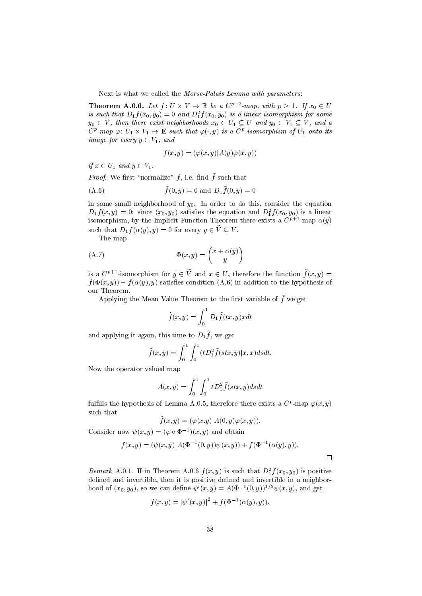Next is what we called the Morse-Palais Lemma with parameters:

**Theorem A.0.6.** Let  $f: U \times V \to \mathbb{R}$  be a  $C^{p+2}$ -map, with  $p \geq 1$ . If  $x_0 \in U$ is such that  $D_1 f(x_0,y_0) = 0$  and  $D_1^2 f(x_0,y_0)$  is a linear isomorphism for some  $y_0 \in V$ , then there exist neighborhoods  $x_0 \in U_1 \subseteq U$  and  $y_0 \in V_1 \subseteq V$ , and a  $C^p$ -map  $\varphi: U_1 \times V_1 \to \mathbf{E}$  such that  $\varphi(\cdot, y)$  is a  $C^p$ -isomorphism of  $U_1$  onto its image for every  $y \in V_1$ , and

$$
f(x,y) = (\varphi(x,y)|A(y)\varphi(x,y))
$$

if  $x \in U_1$  and  $y \in V_1$ .

*Proof.* We first "normalize" f, i.e. find  $\tilde{f}$  such that

(A.6) 
$$
\tilde{f}(0, y) = 0
$$
 and  $D_1 \tilde{f}(0, y) = 0$ 

in some small neighborhood of  $y_0$ . In order to do this, consider the equation  $D_1 f(x, y) = 0$ : since  $(x_0, y_0)$  satisfies the equation and  $D_1^2 f(x_0, y_0)$  is a linear isomorphism, by the Implicit Function Theorem there exists a  $C^{p+1}$ -map  $\alpha(y)$ such that  $D_1 f(\alpha(y), y) = 0$  for every  $y \in \widetilde{V} \subset V$ .

The map

$$
\Phi(x, y) = \begin{pmatrix} x + \alpha(y) \\ y \end{pmatrix}
$$

is a  $C^{p+1}$ -isomorphism for  $y \in \tilde{V}$  and  $x \in U$ , therefore the function  $\tilde{f}(x, y) =$  $f(\Phi(x,y)) - f(\alpha(y), y)$  satisfies condition (A.6) in addition to the hypothesis of our Theorem.

Applying the Mean Value Theorem to the first variable of  $\tilde{f}$  we get

$$
\tilde{f}(x,y) = \int_0^1 D_1 \tilde{f}(tx, y) x dt
$$

and applying it again, this time to  $D_1\tilde{f}$ , we get

$$
\tilde{f}(x,y) = \int_0^1 \int_0^1 (tD_1^2 \tilde{f}(stx,y)|x,x)dsdt.
$$

Now the operator valued map

$$
A(x,y) = \int_0^1 \int_0^1 t D_1^2 \tilde{f}(stx, y) ds dt
$$

fulfills the hypothesis of Lemma A.0.5, therefore there exists a  $C^p$ -map  $\varphi(x, y)$ such that

$$
\tilde{f}(x,y) = (\varphi(x.y) | A(0,y)\varphi(x,y)).
$$

Consider now  $\psi(x, y) = (\varphi \circ \Phi^{-1})(x, y)$  and obtain

$$
f(x, y) = (\psi(x, y) | A(\Phi^{-1}(0, y))\psi(x, y)) + f(\Phi^{-1}(\alpha(y), y)).
$$

 $\Box$ 

Remark A.0.1. If in Theorem A.0.6  $f(x, y)$  is such that  $D_1^2 f(x_0, y_0)$  is positive defined and invertible, then it is positive defined and invertible in a neighborhood of  $(x_0, y_0)$ , so we can define  $\psi'(x, y) = A(\Phi^{-1}(0, y))^{1/2} \psi(x, y)$ , and get

$$
f(x, y) = |\psi'(x, y)|^{2} + f(\Phi^{-1}(\alpha(y), y)).
$$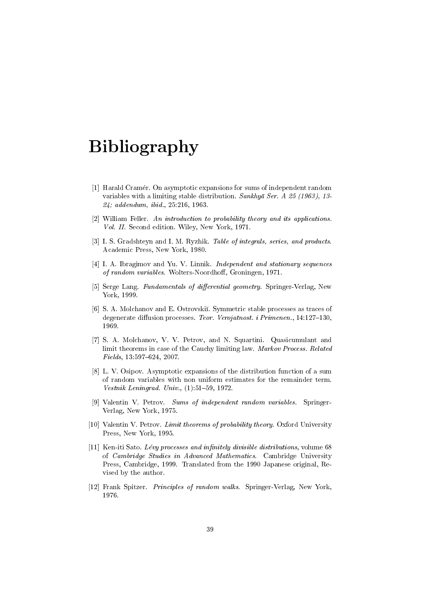## Bibliography

- [1] Harald Cramer. On asymptotic expansions for sums of independent random variables with a limiting stable distribution. Sankhya Ser. A 25 (1963), 13-24; addendum, ibid., 25:216, 1963.
- [2] William Feller. An introduction to probability theory and its applications. Vol. II. Second edition. Wiley, New York, 1971.
- [3] I. S. Gradshteyn and I. M. Ryzhik. Table of integrals, series, and products. Academic Press, New York, 1980.
- [4] I. A. Ibragimov and Yu. V. Linnik. *Independent and stationary sequences* of random variables. Wolters-Noordhoff, Groningen, 1971.
- [5] Serge Lang. Fundamentals of differential geometry. Springer-Verlag, New York, 1999.
- [6] S. A. Molchanov and E. Ostrovski. Symmetric stable processes as traces of degenerate diffusion processes. Teor. Verojatnost. i Primenen., 14:127-130, 1969.
- [7] S. A. Molchanov, V. V. Petrov, and N. Squartini. Quasicumulant and limit theorems in case of the Cauchy limiting law. Markov Process. Related  $Fields, 13:597–624, 2007.$
- [8] L. V. Osipov. Asymptotic expansions of the distribution function of a sum of random variables with non uniform estimates for the remainder term. Vestnik Leningrad. Univ.,  $(1):51{-}59, 1972$ .
- [9] Valentin V. Petrov. Sums of independent random variables. Springer-Verlag, New York, 1975.
- [10] Valentin V. Petrov. Limit theorems of probability theory. Oxford University Press, New York, 1995.
- [11] Ken-iti Sato. *Lévy processes and infinitely divisible distributions*, volume 68 of Cambridge Studies in Advanced Mathematics. Cambridge University Press, Cambridge, 1999. Translated from the 1990 Japanese original, Revised by the author.
- [12] Frank Spitzer. Principles of random walks. Springer-Verlag, New York, 1976.